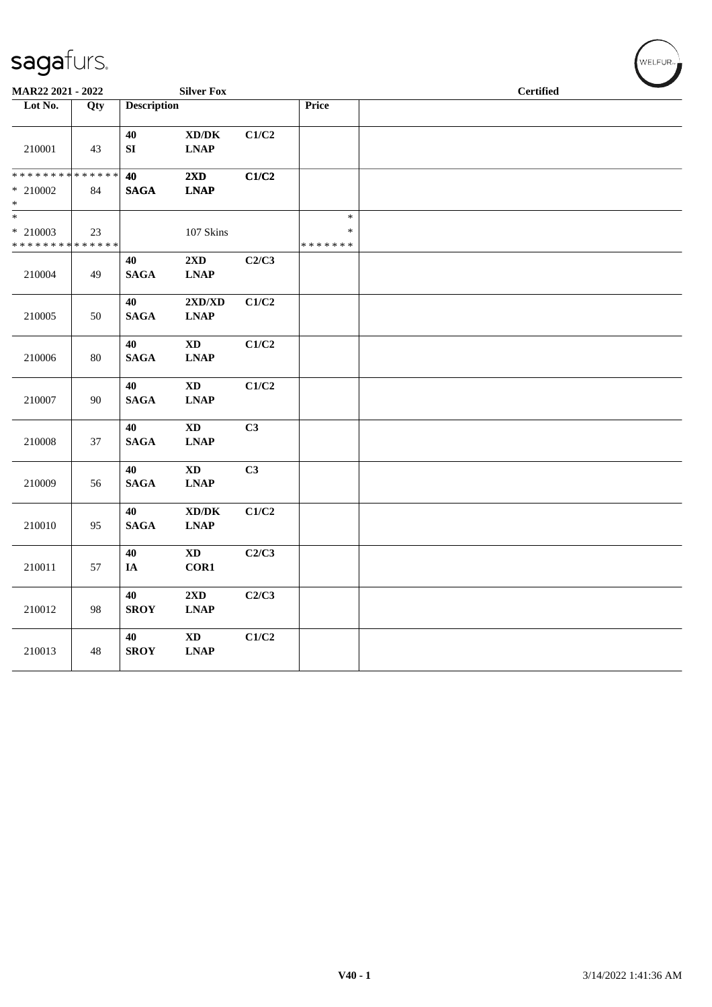| sagafurs. |
|-----------|
|-----------|

| MAR22 2021 - 2022                                                       |        |                            | <b>Silver Fox</b>                                      |       |                                   | <b>Certified</b> |  |  |
|-------------------------------------------------------------------------|--------|----------------------------|--------------------------------------------------------|-------|-----------------------------------|------------------|--|--|
| Lot No.                                                                 | Qty    | <b>Description</b>         |                                                        |       | Price                             |                  |  |  |
| 210001                                                                  | 43     | $40\,$<br>${\bf S}{\bf I}$ | $\bold{X}\bold{D}/\bold{D}\bold{K}$<br><b>LNAP</b>     | C1/C2 |                                   |                  |  |  |
| ******** <mark>******</mark><br>$*$ 210002<br>$\ast$                    | 84     | 40<br><b>SAGA</b>          | 2XD<br><b>LNAP</b>                                     | C1/C2 |                                   |                  |  |  |
| $\overline{\phantom{a}^*}$<br>$*$ 210003<br>* * * * * * * * * * * * * * | 23     |                            | 107 Skins                                              |       | $\ast$<br>$\ast$<br>* * * * * * * |                  |  |  |
| 210004                                                                  | 49     | 40<br><b>SAGA</b>          | 2XD<br>$\ensuremath{\text{L}N\!AP}$                    | C2/C3 |                                   |                  |  |  |
| 210005                                                                  | 50     | 40<br><b>SAGA</b>          | 2XD/XD<br>$\ensuremath{\text{L}N\!AP}$                 | C1/C2 |                                   |                  |  |  |
| 210006                                                                  | $80\,$ | 40<br><b>SAGA</b>          | $\mathbf{X}\mathbf{D}$<br><b>LNAP</b>                  | C1/C2 |                                   |                  |  |  |
| 210007                                                                  | 90     | 40<br><b>SAGA</b>          | $\mathbf{X}\mathbf{D}$<br><b>LNAP</b>                  | C1/C2 |                                   |                  |  |  |
| 210008                                                                  | 37     | 40<br><b>SAGA</b>          | $\mathbf{X}\mathbf{D}$<br>$\ensuremath{\text{L}N\!AP}$ | C3    |                                   |                  |  |  |
| 210009                                                                  | 56     | 40<br>$\mathbf{SAGA}$      | $\mathbf{X}\mathbf{D}$<br>$\ensuremath{\text{L}N\!AP}$ | C3    |                                   |                  |  |  |
| 210010                                                                  | 95     | 40<br>$\mathbf{SAGA}$      | $\bold{X}\bold{D}/\bold{D}\bold{K}$<br><b>LNAP</b>     | C1/C2 |                                   |                  |  |  |
| 210011                                                                  | 57     | 40<br>IA                   | $\mathbf{X}\mathbf{D}$<br>COR1                         | C2/C3 |                                   |                  |  |  |
| 210012                                                                  | 98     | 40<br><b>SROY</b>          | $2{\bf X}{\bf D}$<br><b>LNAP</b>                       | C2/C3 |                                   |                  |  |  |
| 210013                                                                  | 48     | 40<br><b>SROY</b>          | $\mathbf{X}\mathbf{D}$<br><b>LNAP</b>                  | C1/C2 |                                   |                  |  |  |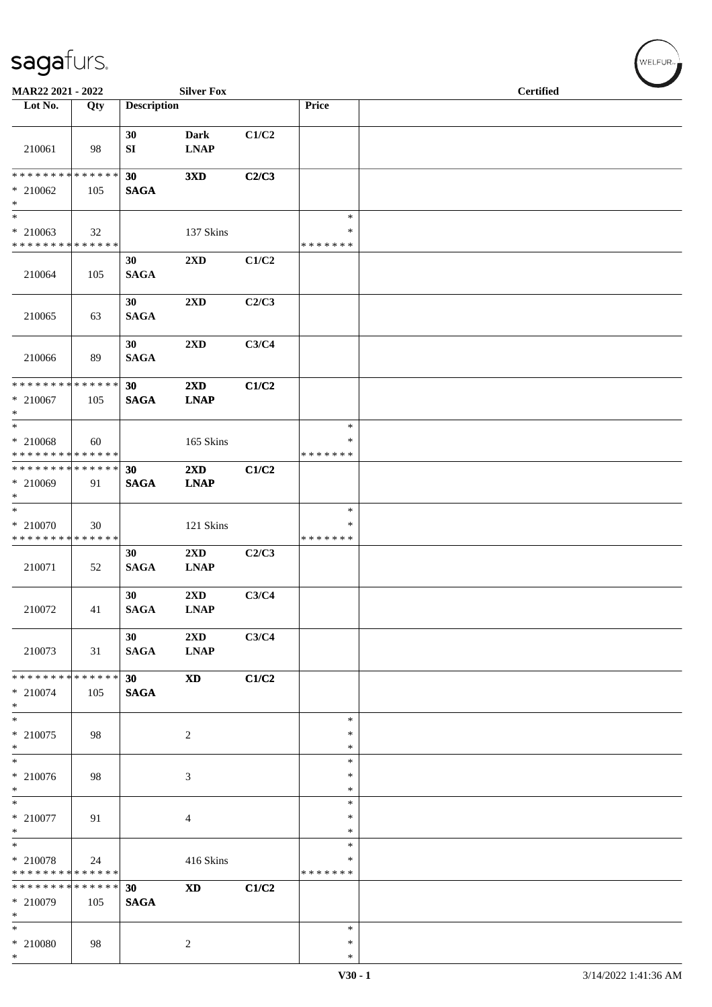| MAR22 2021 - 2022                                              |     |                    | <b>Silver Fox</b>                      |       |                                   | <b>Certified</b> |  |
|----------------------------------------------------------------|-----|--------------------|----------------------------------------|-------|-----------------------------------|------------------|--|
| Lot No.                                                        | Qty | <b>Description</b> |                                        |       | Price                             |                  |  |
| 210061                                                         | 98  | 30<br>SI           | <b>Dark</b><br><b>LNAP</b>             | C1/C2 |                                   |                  |  |
| * * * * * * * * * * * * * *<br>$* 210062$<br>$\ast$            | 105 | 30<br><b>SAGA</b>  | 3XD                                    | C2/C3 |                                   |                  |  |
| $\ast$<br>$*$ 210063<br>* * * * * * * * * * * * * *            | 32  |                    | 137 Skins                              |       | $\ast$<br>$\ast$<br>* * * * * * * |                  |  |
| 210064                                                         | 105 | 30<br><b>SAGA</b>  | 2XD                                    | C1/C2 |                                   |                  |  |
| 210065                                                         | 63  | 30<br><b>SAGA</b>  | 2XD                                    | C2/C3 |                                   |                  |  |
| 210066                                                         | 89  | 30<br><b>SAGA</b>  | 2XD                                    | C3/C4 |                                   |                  |  |
| * * * * * * * * * * * * * *<br>$* 210067$<br>$\ast$            | 105 | 30<br><b>SAGA</b>  | 2XD<br><b>LNAP</b>                     | C1/C2 |                                   |                  |  |
| $\ast$<br>$*$ 210068<br>* * * * * * * * * * * * * *            | 60  |                    | 165 Skins                              |       | $\ast$<br>$\ast$<br>* * * * * * * |                  |  |
| **************<br>* 210069<br>$\ast$                           | 91  | 30<br><b>SAGA</b>  | $2\mathbf{X}\mathbf{D}$<br><b>LNAP</b> | C1/C2 |                                   |                  |  |
| $\ast$<br>* 210070<br>* * * * * * * * * * * * * *              | 30  |                    | 121 Skins                              |       | $\ast$<br>$\ast$<br>* * * * * * * |                  |  |
| 210071                                                         | 52  | 30<br><b>SAGA</b>  | $2\mathbf{X}\mathbf{D}$<br><b>LNAP</b> | C2/C3 |                                   |                  |  |
| 210072                                                         | 41  | 30<br><b>SAGA</b>  | $2\mathbf{X}\mathbf{D}$<br><b>LNAP</b> | C3/C4 |                                   |                  |  |
| 210073                                                         | 31  | 30<br><b>SAGA</b>  | 2XD<br><b>LNAP</b>                     | C3/C4 |                                   |                  |  |
| ******** <mark>******</mark><br>$* 210074$<br>$\ast$           | 105 | 30<br><b>SAGA</b>  | <b>XD</b>                              | C1/C2 |                                   |                  |  |
| $\ast$<br>$*$ 210075<br>$*$                                    | 98  |                    | $\sqrt{2}$                             |       | $\ast$<br>$\ast$<br>$\ast$        |                  |  |
| $\frac{1}{*}$<br>$* 210076$<br>$\ast$                          | 98  |                    | 3                                      |       | $\ast$<br>$\ast$<br>$\ast$        |                  |  |
| $\overline{\phantom{1}}$<br>$*$ 210077<br>$\ast$               | 91  |                    | 4                                      |       | $\ast$<br>$\ast$<br>$\ast$        |                  |  |
| $\overline{\ast}$<br>$*$ 210078<br>* * * * * * * * * * * * * * | 24  |                    | 416 Skins                              |       | $\ast$<br>∗<br>* * * * * * *      |                  |  |
| * * * * * * * * * * * * * *<br>$*$ 210079<br>$\ast$            | 105 | 30<br><b>SAGA</b>  | <b>XD</b>                              | C1/C2 |                                   |                  |  |
| $\ast$<br>$*$ 210080<br>$\ast$                                 | 98  |                    | $\overline{c}$                         |       | $\ast$<br>$\ast$<br>$\ast$        |                  |  |

 $(w$ ELFUR<sub><sup>n</sub></sub></sub></sup>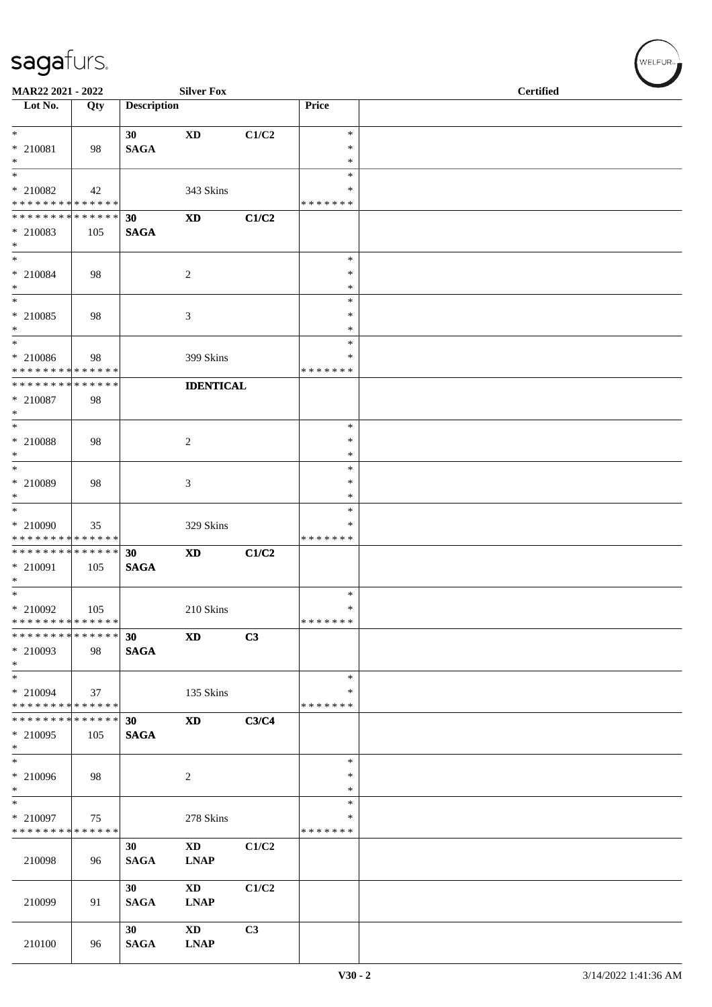| <b>Silver Fox</b><br>MAR22 2021 - 2022                                    |     |                    |                                       |       |                    | <b>Certified</b> |
|---------------------------------------------------------------------------|-----|--------------------|---------------------------------------|-------|--------------------|------------------|
| Lot No.                                                                   | Qty | <b>Description</b> |                                       |       | Price              |                  |
| $*$                                                                       |     | 30                 | <b>XD</b>                             | C1/C2 | $\ast$             |                  |
| $*$ 210081<br>$*$                                                         | 98  | <b>SAGA</b>        |                                       |       | $\ast$<br>$\ast$   |                  |
|                                                                           |     |                    |                                       |       | $\ast$             |                  |
| * 210082<br>* * * * * * * * * * * * * *                                   | 42  |                    | 343 Skins                             |       | ∗<br>* * * * * * * |                  |
| * * * * * * * * * * * * * * *                                             |     | 30                 | $\mathbf{X}\mathbf{D}$                | C1/C2 |                    |                  |
| * 210083                                                                  | 105 | <b>SAGA</b>        |                                       |       |                    |                  |
| $*$<br>$*$                                                                |     |                    |                                       |       | $\ast$             |                  |
| $*$ 210084                                                                | 98  |                    | $\boldsymbol{2}$                      |       | $\ast$             |                  |
| $*$<br>$\ast$                                                             |     |                    |                                       |       | $\ast$<br>$\ast$   |                  |
| * 210085                                                                  | 98  |                    | 3                                     |       | $\ast$             |                  |
| $*$                                                                       |     |                    |                                       |       | $\ast$             |                  |
| * 210086                                                                  | 98  |                    | 399 Skins                             |       | $\ast$<br>$\ast$   |                  |
| * * * * * * * * * * * * * *                                               |     |                    |                                       |       | *******            |                  |
| * * * * * * * * * * * * * *                                               |     |                    | <b>IDENTICAL</b>                      |       |                    |                  |
| $*$ 210087<br>$*$                                                         | 98  |                    |                                       |       |                    |                  |
|                                                                           |     |                    |                                       |       | $\ast$             |                  |
| * 210088<br>$*$                                                           | 98  |                    | 2                                     |       | $\ast$<br>$\ast$   |                  |
| $\overline{\ast}$                                                         |     |                    |                                       |       | $\ast$             |                  |
| * 210089                                                                  | 98  |                    | 3                                     |       | $\ast$             |                  |
| $*$<br>$\overline{\ }$                                                    |     |                    |                                       |       | $\ast$<br>$\ast$   |                  |
| $* 210090$                                                                | 35  |                    | 329 Skins                             |       | $\ast$             |                  |
| * * * * * * * * * * * * * *<br>* * * * * * * * <mark>* * * * * * *</mark> |     | 30                 |                                       |       | *******            |                  |
| * 210091                                                                  | 105 | <b>SAGA</b>        | <b>XD</b>                             | C1/C2 |                    |                  |
| $*$                                                                       |     |                    |                                       |       |                    |                  |
| $*$<br>* 210092                                                           | 105 |                    | 210 Skins                             |       | $\ast$<br>$\ast$   |                  |
| * * * * * * * * * * * * * * *                                             |     |                    |                                       |       | * * * * * * *      |                  |
| * * * * * * * * * * * * * * *<br>* 210093                                 | 98  | 30<br><b>SAGA</b>  | <b>XD</b>                             | C3    |                    |                  |
| $\ast$                                                                    |     |                    |                                       |       |                    |                  |
| $*$                                                                       |     |                    |                                       |       | $\ast$             |                  |
| * 210094<br>* * * * * * * * * * * * * *                                   | 37  |                    | 135 Skins                             |       | ∗<br>* * * * * * * |                  |
| * * * * * * * * * * * * * *                                               |     | 30                 | <b>XD</b>                             | C3/C4 |                    |                  |
| * 210095<br>$*$                                                           | 105 | <b>SAGA</b>        |                                       |       |                    |                  |
| $\ast$                                                                    |     |                    |                                       |       | $\ast$             |                  |
| $* 210096$                                                                | 98  |                    | 2                                     |       | $\ast$             |                  |
| $*$<br>$*$                                                                |     |                    |                                       |       | $\ast$<br>$\ast$   |                  |
| $* 210097$                                                                | 75  |                    | 278 Skins                             |       | ∗                  |                  |
| * * * * * * * * <mark>* * * * * *</mark>                                  |     | 30                 | $\mathbf{X}\mathbf{D}$                | C1/C2 | *******            |                  |
| 210098                                                                    | 96  | <b>SAGA</b>        | <b>LNAP</b>                           |       |                    |                  |
|                                                                           |     |                    |                                       |       |                    |                  |
| 210099                                                                    | 91  | 30<br><b>SAGA</b>  | $\mathbf{X}\mathbf{D}$<br><b>LNAP</b> | C1/C2 |                    |                  |
|                                                                           |     |                    |                                       |       |                    |                  |
|                                                                           |     | 30                 | <b>XD</b>                             | C3    |                    |                  |
| 210100                                                                    | 96  | <b>SAGA</b>        | <b>LNAP</b>                           |       |                    |                  |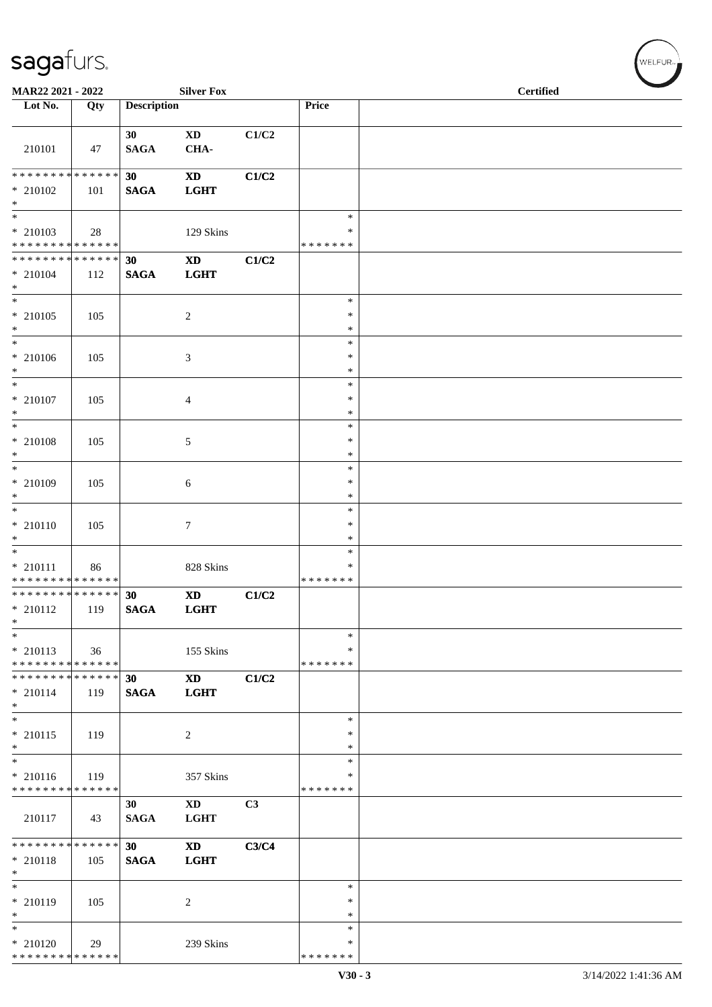| MAR22 2021 - 2022                                                     |     |                    | <b>Silver Fox</b>                     |       |                              | <b>Certified</b> |
|-----------------------------------------------------------------------|-----|--------------------|---------------------------------------|-------|------------------------------|------------------|
| Lot No.                                                               | Qty | <b>Description</b> |                                       |       | Price                        |                  |
| 210101                                                                | 47  | 30<br><b>SAGA</b>  | $\mathbf{X}\mathbf{D}$<br>CHA-        | C1/C2 |                              |                  |
| ******** <mark>******</mark><br>$*$ 210102<br>$*$                     | 101 | 30<br><b>SAGA</b>  | $\mathbf{X}\mathbf{D}$<br><b>LGHT</b> | C1/C2 |                              |                  |
| $\ast$<br>$*$ 210103<br>* * * * * * * * * * * * * *                   | 28  |                    | 129 Skins                             |       | $\ast$<br>*<br>* * * * * * * |                  |
| * * * * * * * * * * * * * *<br>$* 210104$<br>$\ast$                   | 112 | 30<br><b>SAGA</b>  | $\mathbf{X}\mathbf{D}$<br><b>LGHT</b> | C1/C2 |                              |                  |
| $\overline{\phantom{0}}$<br>$*$ 210105<br>$*$                         | 105 |                    | $\overline{2}$                        |       | $\ast$<br>∗<br>$\ast$        |                  |
| $\ast$<br>$* 210106$<br>$*$                                           | 105 |                    | $\mathfrak{Z}$                        |       | $\ast$<br>$\ast$<br>$\ast$   |                  |
| $\ast$<br>$* 210107$<br>$*$                                           | 105 |                    | $\overline{4}$                        |       | $\ast$<br>$\ast$<br>$\ast$   |                  |
| $*$<br>$*$ 210108<br>$*$                                              | 105 |                    | 5                                     |       | $\ast$<br>$\ast$<br>$\ast$   |                  |
| $*$<br>* 210109<br>$*$                                                | 105 |                    | 6                                     |       | $\ast$<br>$\ast$<br>*        |                  |
| $\overline{\phantom{0}}$<br>$* 210110$<br>$\ast$                      | 105 |                    | $\tau$                                |       | $\ast$<br>$\ast$<br>$\ast$   |                  |
| $\overline{\phantom{0}}$<br>$* 210111$<br>* * * * * * * * * * * * * * | 86  |                    | 828 Skins                             |       | $\ast$<br>*<br>* * * * * * * |                  |
| **************<br>$* 210112$<br>$\ast$                                | 119 | 30<br><b>SAGA</b>  | <b>XD</b><br><b>LGHT</b>              | C1/C2 |                              |                  |
| $\ast$<br>$* 210113$<br>* * * * * * * * * * * * * *                   | 36  |                    | 155 Skins                             |       | $\ast$<br>∗<br>* * * * * * * |                  |
| * * * * * * * * * * * * * * *<br>$* 210114$<br>$*$                    | 119 | 30<br><b>SAGA</b>  | <b>XD</b><br><b>LGHT</b>              | C1/C2 |                              |                  |
| $*$<br>$* 210115$<br>$*$                                              | 119 |                    | 2                                     |       | $\ast$<br>$\ast$<br>∗        |                  |
| $*$<br>$* 210116$<br>* * * * * * * * <mark>* * * * * * *</mark>       | 119 |                    | 357 Skins                             |       | *<br>*<br>* * * * * * *      |                  |
| 210117                                                                | 43  | 30<br><b>SAGA</b>  | $\mathbf{X}\mathbf{D}$<br><b>LGHT</b> | C3    |                              |                  |
| ******** <mark>******</mark><br>* 210118<br>$*$                       | 105 | 30<br><b>SAGA</b>  | <b>XD</b><br><b>LGHT</b>              | C3/C4 |                              |                  |
| $\ast$<br>$* 210119$<br>$\ast$                                        | 105 |                    | $\overline{c}$                        |       | $\ast$<br>∗<br>$\ast$        |                  |
| $\overline{\ast}$<br>$*$ 210120<br>* * * * * * * * * * * * * *        | 29  |                    | 239 Skins                             |       | $\ast$<br>∗<br>* * * * * * * |                  |

 $(w$ elfur $\overline{\phantom{a}}$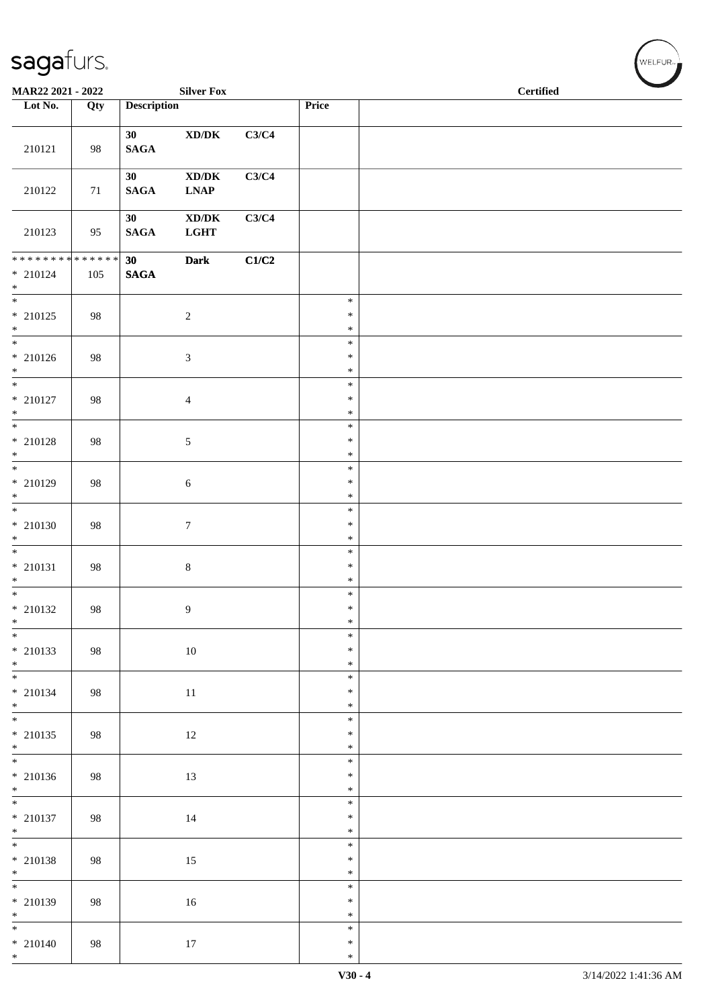| sagafurs.                                          |     |                                |                                                              |       | WELFUR <sub>™</sub>        |                  |
|----------------------------------------------------|-----|--------------------------------|--------------------------------------------------------------|-------|----------------------------|------------------|
| MAR22 2021 - 2022                                  |     |                                | <b>Silver Fox</b>                                            |       |                            | <b>Certified</b> |
| Lot No.                                            | Qty | <b>Description</b>             |                                                              |       | Price                      |                  |
| 210121                                             | 98  | 30 <sup>°</sup><br><b>SAGA</b> | $\mathbf{X}\mathbf{D}/\mathbf{D}\mathbf{K}$                  | C3/C4 |                            |                  |
| 210122                                             | 71  | 30<br><b>SAGA</b>              | $X$ D/D $K$<br>$\ensuremath{\text{L}N\!AP}\xspace$           | C3/C4 |                            |                  |
| 210123                                             | 95  | 30<br>$\mathbf{SAGA}$          | $\mathbf{X}\mathbf{D}/\mathbf{D}\mathbf{K}$<br>$_{\rm LGHT}$ | C3/C4 |                            |                  |
| * * * * * * * * * * * * * *                        |     | 30                             | <b>Dark</b>                                                  | C1/C2 |                            |                  |
| $* 210124$<br>$\ast$                               | 105 | <b>SAGA</b>                    |                                                              |       |                            |                  |
| $\overline{\phantom{0}}$<br>$*$ 210125<br>$\ast$   | 98  |                                | $\sqrt{2}$                                                   |       | $\ast$<br>$\ast$<br>$\ast$ |                  |
| $\overline{\phantom{0}}$<br>$* 210126$<br>$\ast$   | 98  |                                | $\ensuremath{\mathfrak{Z}}$                                  |       | $\ast$<br>$\ast$<br>$\ast$ |                  |
| $\ast$<br>$*$ 210127<br>$\ast$                     | 98  |                                | $\overline{4}$                                               |       | $\ast$<br>$\ast$<br>$\ast$ |                  |
| $\ast$<br>$*$ 210128<br>$\ast$                     | 98  |                                | $\sqrt{5}$                                                   |       | $\ast$<br>$\ast$<br>$\ast$ |                  |
| $\overline{\phantom{a}^*}$<br>$* 210129$<br>$\ast$ | 98  |                                | $\sqrt{6}$                                                   |       | $\ast$<br>$\ast$<br>$\ast$ |                  |
| $\ast$<br>$* 210130$<br>$\ast$                     | 98  |                                | $\tau$                                                       |       | $\ast$<br>$\ast$<br>$\ast$ |                  |
| $\ast$<br>$* 210131$<br>$*$                        | 98  |                                | $\,8\,$                                                      |       | $\ast$<br>$\ast$<br>$\ast$ |                  |
| $\overline{\phantom{0}}$<br>$*$ 210132             | 98  |                                | $\overline{9}$                                               |       | $\ast$<br>$\ast$<br>$\ast$ |                  |
| $*$ $*$<br>$*$ 210133<br>$*$                       | 98  |                                | 10                                                           |       | $\ast$<br>$\ast$<br>$\ast$ |                  |
| $\overline{\phantom{0}}$<br>$* 210134$<br>$*$      | 98  |                                | 11                                                           |       | $\ast$<br>$\ast$<br>$\ast$ |                  |
| $* 210135$<br>$*$                                  | 98  |                                | 12                                                           |       | $\ast$<br>∗<br>$\ast$      |                  |
| $* 210136$<br>$*$                                  | 98  |                                | 13                                                           |       | $\ast$<br>$\ast$<br>$\ast$ |                  |
| $\overline{\phantom{0}}$<br>$* 210137$<br>$*$      | 98  |                                | $14\,$                                                       |       | $\ast$<br>$\ast$<br>$\ast$ |                  |
| $*$<br>$*$ 210138<br>$*$                           | 98  |                                | $15\,$                                                       |       | $\ast$<br>$\ast$<br>$\ast$ |                  |
| $\overline{\phantom{a}^*}$<br>$* 210139$<br>$*$    | 98  |                                | $16\,$                                                       |       | $\ast$<br>$\ast$<br>$\ast$ |                  |
| $\overline{\phantom{0}}$<br>$* 210140$<br>$*$      | 98  |                                | $17\,$                                                       |       | $\ast$<br>$\ast$<br>$\ast$ |                  |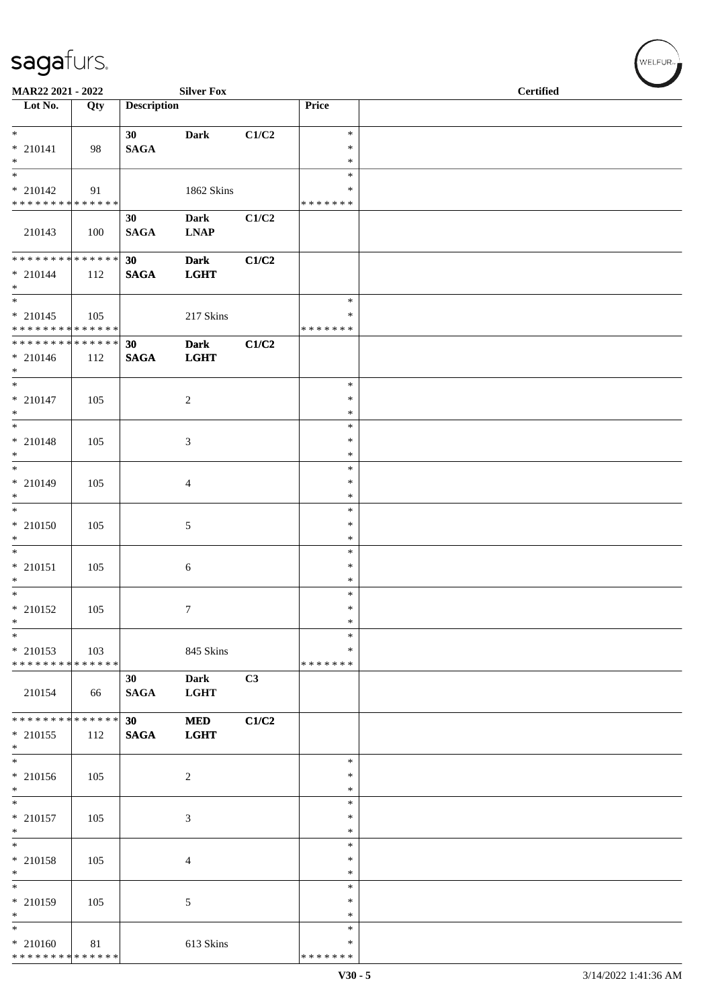| <b>Silver Fox</b><br>MAR22 2021 - 2022                   |     |                       |                           |       |                                   | <b>Certified</b> |
|----------------------------------------------------------|-----|-----------------------|---------------------------|-------|-----------------------------------|------------------|
| $\overline{\phantom{1}}$ Lot No.                         | Qty | <b>Description</b>    |                           |       | Price                             |                  |
| $*$                                                      |     | 30                    | <b>Dark</b>               | C1/C2 | $\ast$                            |                  |
| $* 210141$<br>$\ast$                                     | 98  | <b>SAGA</b>           |                           |       | $\ast$<br>$\ast$                  |                  |
| $*$                                                      |     |                       |                           |       | $\ast$<br>$\ast$                  |                  |
| $* 210142$<br>* * * * * * * * * * * * * *                | 91  |                       | 1862 Skins                |       | * * * * * * *                     |                  |
| 210143                                                   | 100 | 30<br>$\mathbf{SAGA}$ | Dark<br><b>LNAP</b>       | C1/C2 |                                   |                  |
| ******** <mark>******</mark>                             |     | 30                    | <b>Dark</b>               | C1/C2 |                                   |                  |
| $* 210144$<br>$*$<br>$\overline{\phantom{0}}$            | 112 | <b>SAGA</b>           | <b>LGHT</b>               |       |                                   |                  |
| $* 210145$<br>* * * * * * * * <mark>* * * * * * *</mark> | 105 |                       | 217 Skins                 |       | $\ast$<br>$\ast$<br>* * * * * * * |                  |
| ******** <mark>******</mark>                             |     | 30                    | <b>Dark</b>               | C1/C2 |                                   |                  |
| $* 210146$<br>$*$                                        | 112 | <b>SAGA</b>           | <b>LGHT</b>               |       |                                   |                  |
| $*$<br>$* 210147$                                        | 105 |                       | $\overline{c}$            |       | $\ast$<br>$\ast$                  |                  |
| $\ast$                                                   |     |                       |                           |       | $\ast$                            |                  |
| $* 210148$<br>$*$                                        | 105 |                       | 3                         |       | $\ast$<br>$\ast$<br>$\ast$        |                  |
| $\overline{\phantom{0}}$<br>$* 210149$                   | 105 |                       | 4                         |       | $\ast$<br>$\ast$                  |                  |
| $*$<br>$\overline{\ast}$                                 |     |                       |                           |       | $\ast$<br>$\ast$                  |                  |
| $* 210150$<br>$*$                                        | 105 |                       | 5                         |       | $\ast$<br>$\ast$                  |                  |
| $*$                                                      |     |                       |                           |       | $\ast$                            |                  |
| $* 210151$<br>$*$                                        | 105 |                       | 6                         |       | $\ast$<br>$\ast$                  |                  |
| $\overline{\phantom{0}}$<br>$* 210152$                   | 105 |                       | 7                         |       | $\ast$<br>$\ast$                  |                  |
| $\ast$                                                   |     |                       |                           |       | $\ast$                            |                  |
| $\ast$<br>$*$ 210153<br>* * * * * * * * * * * * * *      | 103 |                       | 845 Skins                 |       | $\ast$<br>*<br>* * * * * * *      |                  |
|                                                          |     | 30                    | <b>Dark</b>               | C3    |                                   |                  |
| 210154                                                   | 66  | <b>SAGA</b>           | <b>LGHT</b>               |       |                                   |                  |
| * * * * * * * * * * * * * *<br>$* 210155$<br>$*$         | 112 | 30<br><b>SAGA</b>     | <b>MED</b><br><b>LGHT</b> | C1/C2 |                                   |                  |
| $\overline{\ }$                                          |     |                       |                           |       | $\ast$                            |                  |
| $* 210156$<br>$*$                                        | 105 |                       | $\overline{c}$            |       | $\ast$<br>$\ast$                  |                  |
| $*$<br>$* 210157$<br>$*$                                 | 105 |                       | 3                         |       | $\ast$<br>$\ast$<br>$\ast$        |                  |
| $\ast$<br>* 210158                                       | 105 |                       | 4                         |       | $\ast$<br>∗                       |                  |
| $*$                                                      |     |                       |                           |       | $\ast$                            |                  |
| $*$<br>* 210159<br>$*$                                   | 105 |                       | 5                         |       | $\ast$<br>$\ast$<br>$\ast$        |                  |
| $*$<br>* 210160                                          | 81  |                       | 613 Skins                 |       | $\ast$<br>*                       |                  |
| ******** <mark>******</mark>                             |     |                       |                           |       | * * * * * * *                     |                  |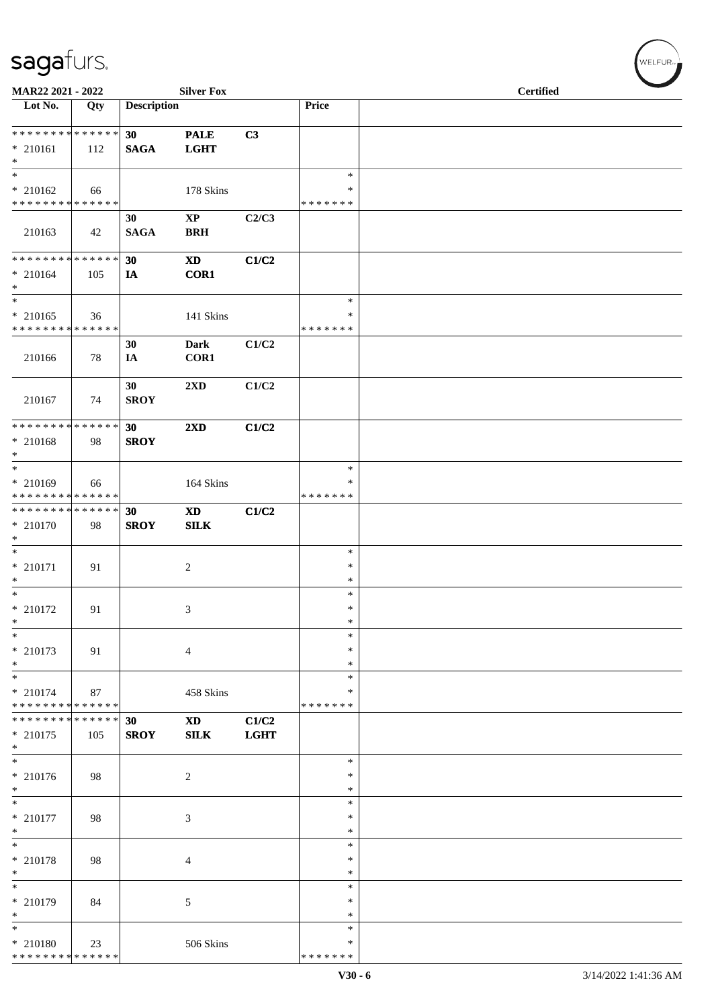| MAR22 2021 - 2022                                              |     |                    | <b>Silver Fox</b>                    |                      |                                   | <b>Certified</b> |
|----------------------------------------------------------------|-----|--------------------|--------------------------------------|----------------------|-----------------------------------|------------------|
| Lot No.                                                        | Qty | <b>Description</b> |                                      |                      | Price                             |                  |
| **************<br>$* 210161$<br>$\ast$                         | 112 | 30<br><b>SAGA</b>  | <b>PALE</b><br><b>LGHT</b>           | C3                   |                                   |                  |
| $\ast$<br>$* 210162$<br>* * * * * * * * * * * * * *            | 66  |                    | 178 Skins                            |                      | $\ast$<br>$\ast$<br>* * * * * * * |                  |
| 210163                                                         | 42  | 30<br><b>SAGA</b>  | $\mathbf{X}\mathbf{P}$<br><b>BRH</b> | C2/C3                |                                   |                  |
| * * * * * * * * * * * * * *<br>$* 210164$<br>$\ast$            | 105 | 30<br>IA           | $\mathbf{X}\mathbf{D}$<br>COR1       | C1/C2                |                                   |                  |
| $\overline{\ast}$<br>$* 210165$<br>* * * * * * * * * * * * * * | 36  |                    | 141 Skins                            |                      | $\ast$<br>∗<br>* * * * * * *      |                  |
| 210166                                                         | 78  | 30<br>IA           | <b>Dark</b><br>COR1                  | C1/C2                |                                   |                  |
| 210167                                                         | 74  | 30<br><b>SROY</b>  | 2XD                                  | C1/C2                |                                   |                  |
| ******** <mark>******</mark><br>$* 210168$<br>$\ast$           | 98  | 30<br><b>SROY</b>  | $2\mathbf{X}\mathbf{D}$              | C1/C2                |                                   |                  |
| $\overline{\ast}$<br>* 210169<br>* * * * * * * * * * * * * *   | 66  |                    | 164 Skins                            |                      | $\ast$<br>∗<br>* * * * * * *      |                  |
| **************<br>* 210170<br>$\ast$                           | 98  | 30<br><b>SROY</b>  | $\mathbf{X}\mathbf{D}$<br>SLK        | C1/C2                |                                   |                  |
| $\ast$<br>$*$ 210171<br>$\ast$                                 | 91  |                    | $\sqrt{2}$                           |                      | $\ast$<br>$\ast$<br>$\ast$        |                  |
| $\ast$<br>$*$ 210172<br>$\ast$                                 | 91  |                    | $\mathfrak{Z}$                       |                      | $\ast$<br>$\ast$<br>$\ast$        |                  |
| $\ast$<br>$* 210173$<br>$\ast$                                 | 91  |                    | $\overline{4}$                       |                      | $\ast$<br>$\ast$<br>$\ast$        |                  |
| $\ast$<br>$* 210174$<br>* * * * * * * * * * * * * *            | 87  |                    | 458 Skins                            |                      | ∗<br>∗<br>* * * * * * *           |                  |
| * * * * * * * * * * * * * *<br>$* 210175$<br>$\ast$            | 105 | 30<br><b>SROY</b>  | <b>XD</b><br><b>SILK</b>             | C1/C2<br><b>LGHT</b> |                                   |                  |
| $_{\ast}^{-}$<br>$* 210176$<br>$\ast$                          | 98  |                    | $\overline{c}$                       |                      | $\ast$<br>$\ast$<br>$\ast$        |                  |
| $\ast$<br>$*$ 210177<br>$\ast$                                 | 98  |                    | $\mathfrak{Z}$                       |                      | ∗<br>$\ast$<br>$\ast$             |                  |
| $\ast$<br>$* 210178$<br>$\ast$                                 | 98  |                    | 4                                    |                      | $\ast$<br>∗<br>$\ast$             |                  |
| $\ast$<br>$* 210179$<br>$\ast$                                 | 84  |                    | $\sqrt{5}$                           |                      | $\ast$<br>$\ast$<br>$\ast$        |                  |
| $\ast$<br>$*$ 210180<br>* * * * * * * * * * * * * *            | 23  |                    | 506 Skins                            |                      | ∗<br>$\ast$<br>* * * * * * *      |                  |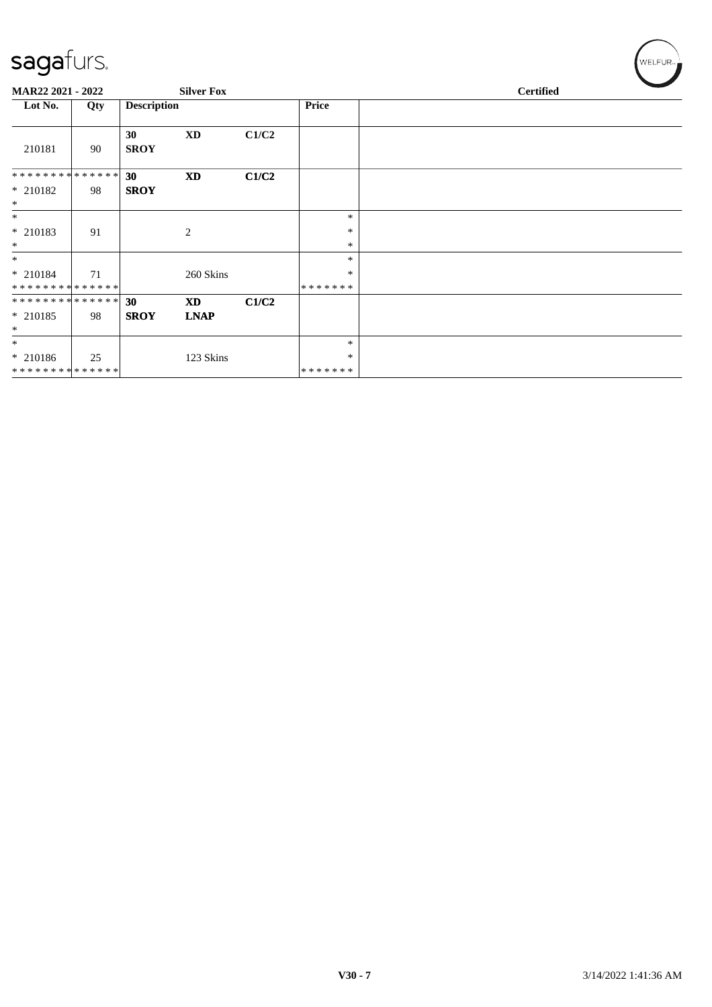| sagafurs.                  |     |                    |                        |       |                    | WELFUR <sub>™</sub> |
|----------------------------|-----|--------------------|------------------------|-------|--------------------|---------------------|
| MAR22 2021 - 2022          |     |                    | <b>Silver Fox</b>      |       |                    | <b>Certified</b>    |
| Lot No.                    | Qty | <b>Description</b> |                        |       | Price              |                     |
| 210181                     | 90  | 30<br><b>SROY</b>  | <b>XD</b>              | C1/C2 |                    |                     |
| **************             |     | 30                 | $\mathbf{X}\mathbf{D}$ | C1/C2 |                    |                     |
| $* 210182$<br>$\ast$       | 98  | <b>SROY</b>        |                        |       |                    |                     |
| $\ast$                     |     |                    |                        |       | $\ast$             |                     |
| $* 210183$<br>$\ast$       | 91  |                    | $\mathbf{2}$           |       | $\ast$<br>$\ast$   |                     |
| $\ast$                     |     |                    |                        |       | $\ast$             |                     |
| * 210184<br>************** | 71  |                    | 260 Skins              |       | ∗<br>*******       |                     |
| **************             |     | 30                 | <b>XD</b>              | C1/C2 |                    |                     |
| $* 210185$<br>$\ast$       | 98  | <b>SROY</b>        | <b>LNAP</b>            |       |                    |                     |
| $\ast$                     |     |                    |                        |       | $\ast$             |                     |
| * 210186<br>************** | 25  |                    | 123 Skins              |       | ∗<br>* * * * * * * |                     |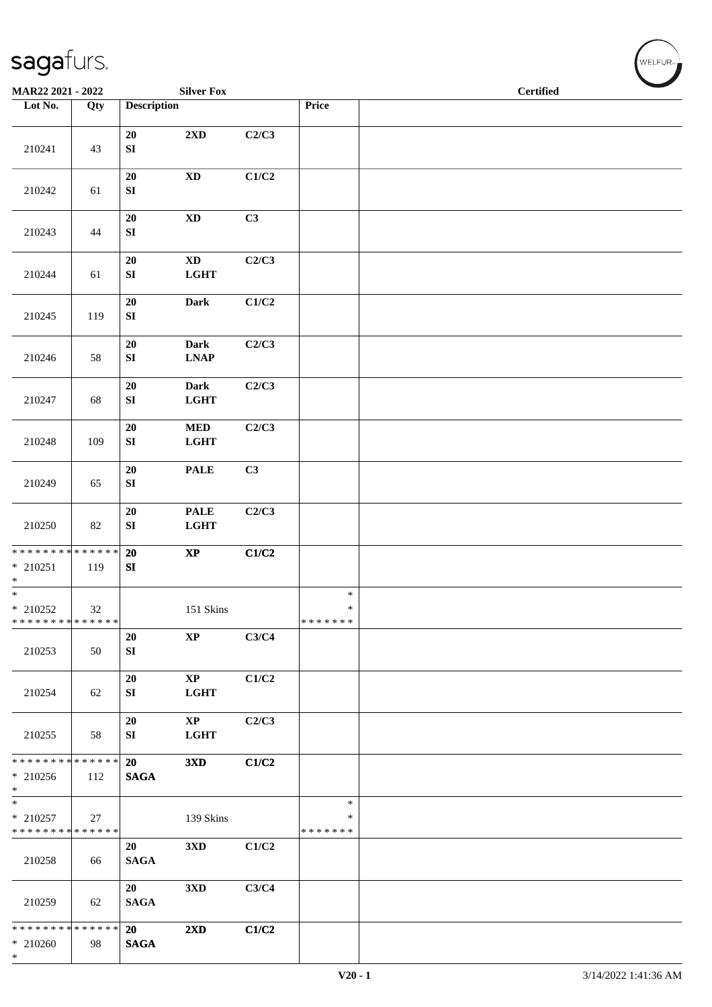| MAR22 2021 - 2022                                              |        |                                | <b>Silver Fox</b>                       |       |                                   | <b>Certified</b> |  |  |  | $\overline{\phantom{0}}$ |
|----------------------------------------------------------------|--------|--------------------------------|-----------------------------------------|-------|-----------------------------------|------------------|--|--|--|--------------------------|
| Lot No.                                                        | Qty    | <b>Description</b>             |                                         |       | Price                             |                  |  |  |  |                          |
| 210241                                                         | 43     | 20<br>${\bf SI}$               | 2XD                                     | C2/C3 |                                   |                  |  |  |  |                          |
| 210242                                                         | 61     | ${\bf 20}$<br>${\bf SI}$       | $\boldsymbol{\mathrm{XD}}$              | C1/C2 |                                   |                  |  |  |  |                          |
| 210243                                                         | 44     | $20\,$<br>${\bf SI}$           | $\boldsymbol{\mathrm{XD}}$              | C3    |                                   |                  |  |  |  |                          |
| 210244                                                         | 61     | $20\,$<br>${\bf SI}$           | $\mathbf{X}\mathbf{D}$<br><b>LGHT</b>   | C2/C3 |                                   |                  |  |  |  |                          |
| 210245                                                         | 119    | ${\bf 20}$<br>${\bf S}{\bf I}$ | Dark                                    | C1/C2 |                                   |                  |  |  |  |                          |
| 210246                                                         | 58     | ${\bf 20}$<br>${\bf SI}$       | Dark<br><b>LNAP</b>                     | C2/C3 |                                   |                  |  |  |  |                          |
| 210247                                                         | 68     | ${\bf 20}$<br>${\bf SI}$       | Dark<br><b>LGHT</b>                     | C2/C3 |                                   |                  |  |  |  |                          |
| 210248                                                         | 109    | ${\bf 20}$<br>${\bf S}{\bf I}$ | $\bf MED$<br><b>LGHT</b>                | C2/C3 |                                   |                  |  |  |  |                          |
| 210249                                                         | 65     | 20<br>${\bf SI}$               | <b>PALE</b>                             | C3    |                                   |                  |  |  |  |                          |
| 210250                                                         | $82\,$ | 20<br>${\bf SI}$               | <b>PALE</b><br><b>LGHT</b>              | C2/C3 |                                   |                  |  |  |  |                          |
| * * * * * * * * * * * * * * *<br>$* 210251$<br>$\ast$          | 119    | 20<br>SI                       | $\bold{XP}$                             | C1/C2 |                                   |                  |  |  |  |                          |
| $*$<br>$*$ 210252<br>* * * * * * * * * * * * * *               | $32\,$ |                                | 151 Skins                               |       | $\ast$<br>$\ast$<br>*******       |                  |  |  |  |                          |
| 210253                                                         | 50     | 20<br>${\bf SI}$               | $\bold{XP}$                             | C3/C4 |                                   |                  |  |  |  |                          |
| 210254                                                         | 62     | 20<br>SI                       | $\bold{XP}$<br><b>LGHT</b>              | C1/C2 |                                   |                  |  |  |  |                          |
| 210255                                                         | 58     | 20<br>SI                       | $\mathbf{X}\mathbf{P}$<br>$_{\rm LGHT}$ | C2/C3 |                                   |                  |  |  |  |                          |
| * * * * * * * * * * * * * * *<br>* 210256<br>$*$               | 112    | 20<br><b>SAGA</b>              | 3XD                                     | C1/C2 |                                   |                  |  |  |  |                          |
| $\overline{\ast}$<br>$*$ 210257<br>* * * * * * * * * * * * * * | 27     |                                | 139 Skins                               |       | $\ast$<br>$\ast$<br>* * * * * * * |                  |  |  |  |                          |
| 210258                                                         | 66     | 20<br><b>SAGA</b>              | 3 <sub>xD</sub>                         | C1/C2 |                                   |                  |  |  |  |                          |
| 210259                                                         | 62     | 20<br><b>SAGA</b>              | 3 <sub>xD</sub>                         | C3/C4 |                                   |                  |  |  |  |                          |
| * * * * * * * * * * * * * *<br>$* 210260$<br>$*$               | 98     | 20<br><b>SAGA</b>              | $2\mathbf{X}\mathbf{D}$                 | C1/C2 |                                   |                  |  |  |  |                          |

 $(\overbrace{\text{WELFUR}_{\text{tr}}})$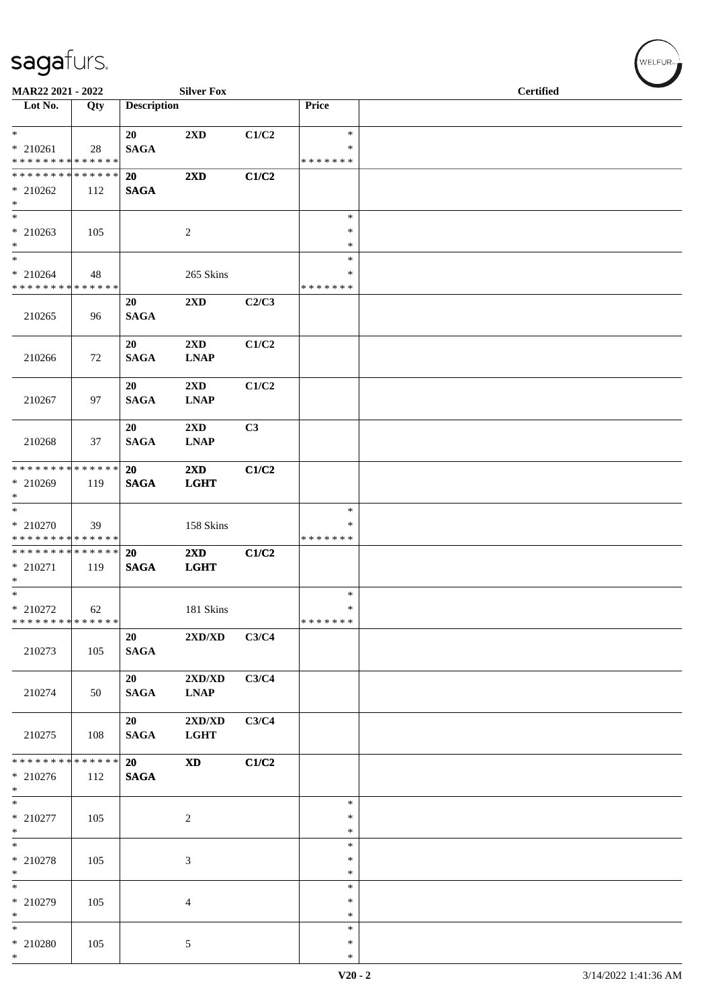| MAR22 2021 - 2022             |     |                    | <b>Silver Fox</b>                |       |               | <b>Certified</b> |
|-------------------------------|-----|--------------------|----------------------------------|-------|---------------|------------------|
| Lot No.                       | Qty | <b>Description</b> |                                  |       | Price         |                  |
| $\ast$<br>$* 210261$          | 28  | 20<br><b>SAGA</b>  | 2XD                              | C1/C2 | $\ast$<br>∗   |                  |
| * * * * * * * * * * * * * *   |     |                    |                                  |       | * * * * * * * |                  |
| * * * * * * * * * * * * * *   |     | 20                 | 2XD                              | C1/C2 |               |                  |
| $* 210262$                    | 112 | <b>SAGA</b>        |                                  |       |               |                  |
| $*$                           |     |                    |                                  |       |               |                  |
| $*$                           |     |                    |                                  |       | $\ast$        |                  |
| $*$ 210263                    | 105 |                    | $\overline{c}$                   |       | $\ast$        |                  |
| $*$                           |     |                    |                                  |       | $\ast$        |                  |
| $*$                           |     |                    |                                  |       | $\ast$        |                  |
| $* 210264$                    | 48  |                    | 265 Skins                        |       | ∗             |                  |
| * * * * * * * * * * * * * *   |     |                    |                                  |       | * * * * * * * |                  |
|                               |     | 20                 | 2XD                              | C2/C3 |               |                  |
| 210265                        | 96  | <b>SAGA</b>        |                                  |       |               |                  |
|                               |     |                    |                                  |       |               |                  |
|                               |     | 20                 | $2\mathbf{X}\mathbf{D}$          | C1/C2 |               |                  |
| 210266                        | 72  | <b>SAGA</b>        | <b>LNAP</b>                      |       |               |                  |
|                               |     |                    |                                  |       |               |                  |
|                               |     | 20                 | $2\mathbf{X}\mathbf{D}$          | C1/C2 |               |                  |
| 210267                        | 97  | <b>SAGA</b>        | <b>LNAP</b>                      |       |               |                  |
|                               |     |                    |                                  |       |               |                  |
|                               |     | 20                 | 2XD                              | C3    |               |                  |
| 210268                        | 37  | <b>SAGA</b>        | <b>LNAP</b>                      |       |               |                  |
|                               |     |                    |                                  |       |               |                  |
| * * * * * * * * * * * * * * * |     | 20                 | $2\mathbf{X}\mathbf{D}$          | C1/C2 |               |                  |
| * 210269                      | 119 | <b>SAGA</b>        | <b>LGHT</b>                      |       |               |                  |
| $\ast$                        |     |                    |                                  |       |               |                  |
| $\overline{\ast}$             |     |                    |                                  |       | $\ast$        |                  |
| $*$ 210270                    | 39  |                    | 158 Skins                        |       | ∗             |                  |
| * * * * * * * * * * * * * *   |     |                    |                                  |       | * * * * * * * |                  |
| * * * * * * * * * * * * * *   |     | 20                 | 2XD                              | C1/C2 |               |                  |
| * 210271                      | 119 | <b>SAGA</b>        | <b>LGHT</b>                      |       |               |                  |
| $*$                           |     |                    |                                  |       |               |                  |
| $*$                           |     |                    |                                  |       | $\ast$        |                  |
| $*$ 210272                    | 62  |                    | 181 Skins                        |       | $\ast$        |                  |
| * * * * * * * * * * * * * *   |     |                    |                                  |       | *******       |                  |
|                               |     | 20                 | $2{\bf X}{\bf D}/{\bf X}{\bf D}$ | C3/C4 |               |                  |
| 210273                        | 105 | <b>SAGA</b>        |                                  |       |               |                  |
|                               |     |                    |                                  |       |               |                  |
|                               |     | 20                 | $2{\bf X}{\bf D}/{\bf X}{\bf D}$ | C3/C4 |               |                  |
| 210274                        | 50  | <b>SAGA</b>        | <b>LNAP</b>                      |       |               |                  |
|                               |     |                    |                                  |       |               |                  |
|                               |     | 20                 | 2XD/XD                           | C3/C4 |               |                  |
| 210275                        | 108 | <b>SAGA</b>        | <b>LGHT</b>                      |       |               |                  |
|                               |     |                    |                                  |       |               |                  |
| * * * * * * * * * * * * * *   |     | 20                 | <b>XD</b>                        | C1/C2 |               |                  |
| $* 210276$                    | 112 | <b>SAGA</b>        |                                  |       |               |                  |
| $*$                           |     |                    |                                  |       |               |                  |
| $*$                           |     |                    |                                  |       | $\ast$        |                  |
| $* 210277$                    | 105 |                    | $\overline{c}$                   |       | $\ast$        |                  |
| $*$                           |     |                    |                                  |       | $\ast$        |                  |
| $*$                           |     |                    |                                  |       | $\ast$        |                  |
| * 210278                      | 105 |                    | 3                                |       | $\ast$        |                  |
| $*$                           |     |                    |                                  |       | $\ast$        |                  |
| $*$                           |     |                    |                                  |       | $\ast$        |                  |
| * 210279                      | 105 |                    | 4                                |       | $\ast$        |                  |
| $*$                           |     |                    |                                  |       | ∗             |                  |
| $*$                           |     |                    |                                  |       | $\ast$        |                  |
| $*$ 210280                    | 105 |                    | 5                                |       | $\ast$        |                  |
| $*$                           |     |                    |                                  |       | $\ast$        |                  |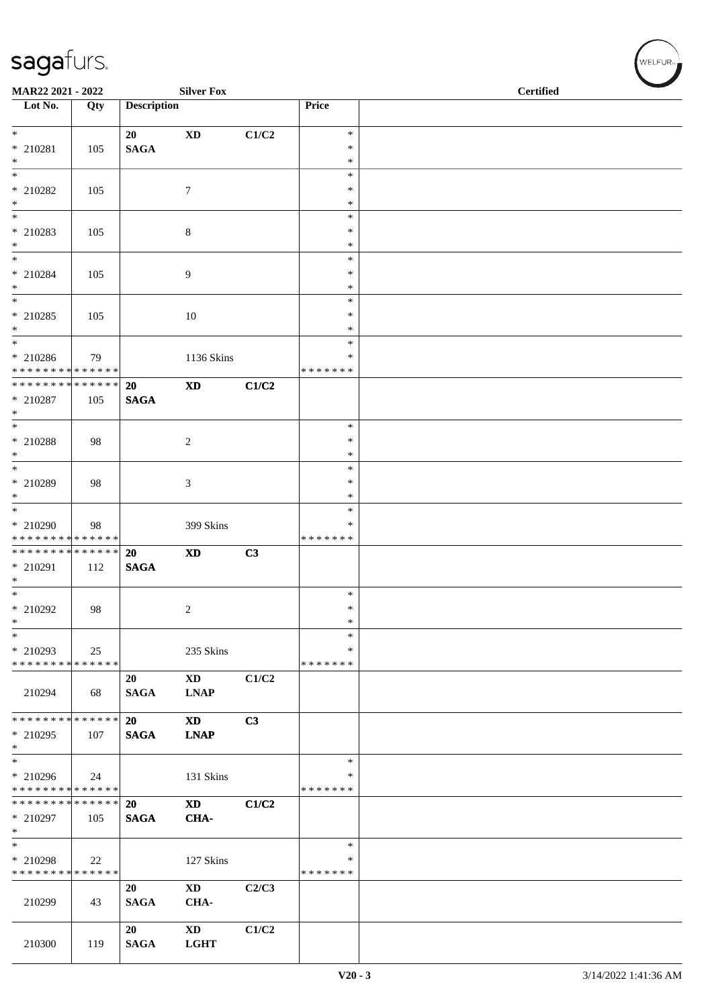| <b>Silver Fox</b><br>MAR22 2021 - 2022                              |     |                    |                                       |       |                                   | <b>Certified</b> |  |  |
|---------------------------------------------------------------------|-----|--------------------|---------------------------------------|-------|-----------------------------------|------------------|--|--|
| Lot No.                                                             | Qty | <b>Description</b> |                                       |       | Price                             |                  |  |  |
| $*$<br>$* 210281$<br>$*$                                            | 105 | 20<br><b>SAGA</b>  | <b>XD</b>                             | C1/C2 | $\ast$<br>$\ast$<br>$\ast$        |                  |  |  |
| * 210282<br>$*$                                                     | 105 |                    | $\tau$                                |       | $\ast$<br>∗<br>$\ast$             |                  |  |  |
| $\overline{\phantom{0}}$<br>* 210283<br>$*$                         | 105 |                    | 8                                     |       | $\ast$<br>$\ast$<br>$\ast$        |                  |  |  |
| $*$<br>$*$ 210284<br>$*$                                            | 105 |                    | 9                                     |       | $\ast$<br>$\ast$<br>$\ast$        |                  |  |  |
| $*$<br>* 210285<br>$*$                                              | 105 |                    | $10\,$                                |       | $\ast$<br>$\ast$<br>$\ast$        |                  |  |  |
| $\overline{\phantom{0}}$<br>* 210286<br>* * * * * * * * * * * * * * | 79  |                    | 1136 Skins                            |       | $\ast$<br>$\ast$<br>* * * * * * * |                  |  |  |
| ******** <mark>******</mark><br>* 210287<br>$*$                     | 105 | 20<br><b>SAGA</b>  | $\mathbf{X}\mathbf{D}$                | C1/C2 |                                   |                  |  |  |
| * 210288<br>$*$                                                     | 98  |                    | $\sqrt{2}$                            |       | $\ast$<br>$\ast$<br>$\ast$        |                  |  |  |
| * 210289<br>$\ast$                                                  | 98  |                    | 3                                     |       | $\ast$<br>$\ast$<br>*             |                  |  |  |
| * 210290<br>* * * * * * * * * * * * * *                             | 98  |                    | 399 Skins                             |       | $\ast$<br>$\ast$<br>* * * * * * * |                  |  |  |
| ******** <mark>******</mark><br>* 210291<br>$*$                     | 112 | 20<br><b>SAGA</b>  | $\mathbf{X}\mathbf{D}$                | C3    |                                   |                  |  |  |
| $*$<br>* 210292<br>$\ast$                                           | 98  |                    | $\boldsymbol{2}$                      |       | $\ast$<br>$\ast$<br>$*$           |                  |  |  |
| $\ast$<br>* 210293<br>* * * * * * * * * * * * * * *                 | 25  |                    | 235 Skins                             |       | $\ast$<br>∗<br>* * * * * * *      |                  |  |  |
| 210294                                                              | 68  | 20<br><b>SAGA</b>  | $\mathbf{X}\mathbf{D}$<br><b>LNAP</b> | C1/C2 |                                   |                  |  |  |
| * * * * * * * * * * * * * * *<br>* 210295<br>$\ast$                 | 107 | 20<br><b>SAGA</b>  | <b>XD</b><br><b>LNAP</b>              | C3    |                                   |                  |  |  |
| * 210296<br>* * * * * * * * * * * * * * *                           | 24  |                    | 131 Skins                             |       | $\ast$<br>∗<br>* * * * * * *      |                  |  |  |
| * * * * * * * * * * * * * * *<br>* 210297<br>$*$                    | 105 | 20<br><b>SAGA</b>  | <b>XD</b><br>CHA-                     | C1/C2 |                                   |                  |  |  |
| $*$<br>* 210298<br>******** <mark>******</mark>                     | 22  |                    | 127 Skins                             |       | $\ast$<br>$\ast$<br>* * * * * * * |                  |  |  |
| 210299                                                              | 43  | 20<br><b>SAGA</b>  | $\mathbf{X}\mathbf{D}$<br>CHA-        | C2/C3 |                                   |                  |  |  |
| 210300                                                              | 119 | 20<br><b>SAGA</b>  | $\mathbf{X}\mathbf{D}$<br><b>LGHT</b> | C1/C2 |                                   |                  |  |  |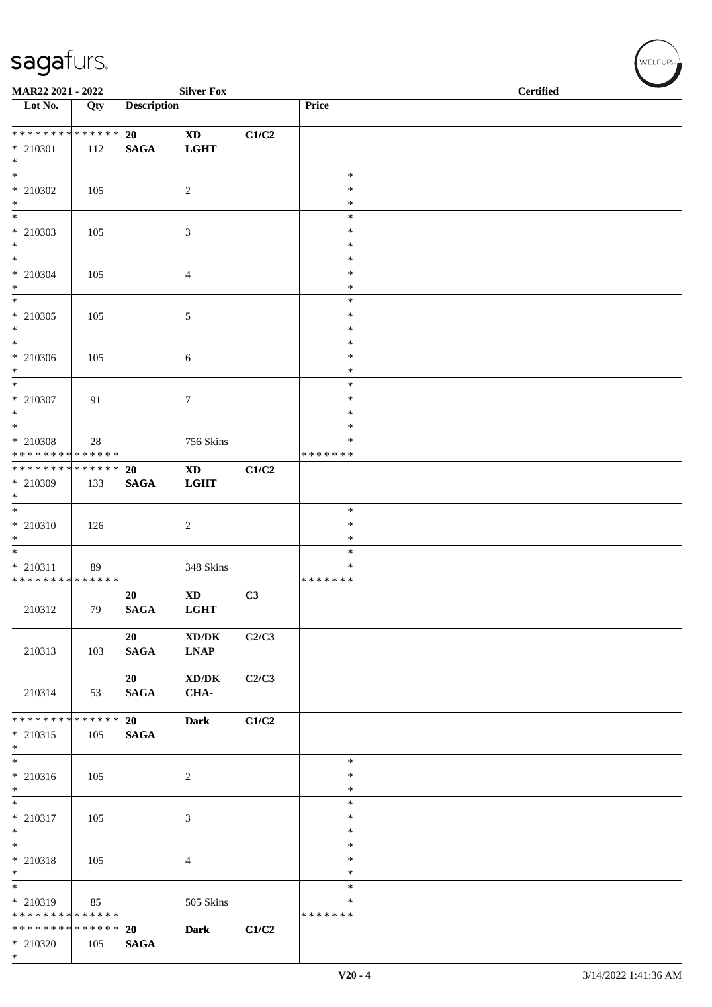| MAR22 2021 - 2022                         |     |                    | <b>Silver Fox</b>                   |       |                  | <b>Certified</b> |
|-------------------------------------------|-----|--------------------|-------------------------------------|-------|------------------|------------------|
| $\overline{\phantom{1}}$ Lot No.          | Qty | <b>Description</b> |                                     |       | Price            |                  |
|                                           |     |                    |                                     |       |                  |                  |
| ******** <mark>******</mark>              |     | 20                 | $\mathbf{X}\mathbf{D}$              | C1/C2 |                  |                  |
| $* 210301$                                | 112 | <b>SAGA</b>        | <b>LGHT</b>                         |       |                  |                  |
| $*$<br>$\overline{\ast}$                  |     |                    |                                     |       | $\ast$           |                  |
| $*$ 210302                                | 105 |                    | $\sqrt{2}$                          |       | $\ast$           |                  |
| $*$                                       |     |                    |                                     |       | $\ast$           |                  |
| $*$                                       |     |                    |                                     |       | $\ast$           |                  |
| * 210303                                  | 105 |                    | 3                                   |       | $\ast$           |                  |
| $*$<br>$\overline{\ast}$                  |     |                    |                                     |       | $\ast$<br>$\ast$ |                  |
| * 210304                                  | 105 |                    | 4                                   |       | $\ast$           |                  |
| $*$                                       |     |                    |                                     |       | $\ast$           |                  |
| $\overline{\ast}$                         |     |                    |                                     |       | $\ast$           |                  |
| $*$ 210305                                | 105 |                    | 5                                   |       | $\ast$           |                  |
| $*$<br>$*$                                |     |                    |                                     |       | $\ast$           |                  |
| $* 210306$                                | 105 |                    | 6                                   |       | $\ast$<br>$\ast$ |                  |
| $*$                                       |     |                    |                                     |       | $\ast$           |                  |
| $*$                                       |     |                    |                                     |       | $\ast$           |                  |
| $* 210307$                                | 91  |                    | 7                                   |       | $\ast$           |                  |
| $*$<br>$\overline{\ast}$                  |     |                    |                                     |       | $\ast$           |                  |
|                                           |     |                    |                                     |       | $\ast$<br>∗      |                  |
| $*$ 210308<br>* * * * * * * * * * * * * * | 28  |                    | 756 Skins                           |       | * * * * * * *    |                  |
| * * * * * * * * * * * * * * *             |     | 20                 | $\mathbf{X}\mathbf{D}$              | C1/C2 |                  |                  |
| * 210309                                  | 133 | <b>SAGA</b>        | <b>LGHT</b>                         |       |                  |                  |
| $\ast$                                    |     |                    |                                     |       |                  |                  |
|                                           |     |                    |                                     |       | $\ast$<br>$\ast$ |                  |
| * 210310<br>$\ast$                        | 126 |                    | $\overline{c}$                      |       | $\ast$           |                  |
|                                           |     |                    |                                     |       | $\ast$           |                  |
| * 210311                                  | 89  |                    | 348 Skins                           |       | ∗                |                  |
| * * * * * * * * * * * * * *               |     |                    |                                     |       | * * * * * * *    |                  |
|                                           |     | 20                 | <b>XD</b>                           | C3    |                  |                  |
| 210312                                    | 79  | <b>SAGA</b>        | <b>LGHT</b>                         |       |                  |                  |
|                                           |     | 20                 | XD/DK                               | C2/C3 |                  |                  |
| 210313                                    | 103 | <b>SAGA</b>        | <b>LNAP</b>                         |       |                  |                  |
|                                           |     |                    |                                     |       |                  |                  |
|                                           |     | 20                 | $\bold{X}\bold{D}/\bold{D}\bold{K}$ | C2/C3 |                  |                  |
| 210314                                    | 53  | <b>SAGA</b>        | CHA-                                |       |                  |                  |
| * * * * * * * * * * * * * * *             |     | 20                 | <b>Dark</b>                         | C1/C2 |                  |                  |
| * 210315                                  | 105 | <b>SAGA</b>        |                                     |       |                  |                  |
| $*$                                       |     |                    |                                     |       |                  |                  |
| $\overline{\phantom{0}}$                  |     |                    |                                     |       | $\ast$           |                  |
| * 210316                                  | 105 |                    | $\overline{c}$                      |       | $\ast$           |                  |
| $\ast$                                    |     |                    |                                     |       | $\ast$<br>$\ast$ |                  |
| * 210317                                  | 105 |                    | 3                                   |       | ∗                |                  |
| $*$                                       |     |                    |                                     |       | $\ast$           |                  |
| $*$                                       |     |                    |                                     |       | $\ast$           |                  |
| * 210318                                  | 105 |                    | 4                                   |       | $\ast$           |                  |
| $*$<br>$\overline{\phantom{0}}$           |     |                    |                                     |       | $\ast$<br>$\ast$ |                  |
| * 210319                                  | 85  |                    | 505 Skins                           |       | $\ast$           |                  |
| * * * * * * * * * * * * * *               |     |                    |                                     |       | * * * * * * *    |                  |
| * * * * * * * * * * * * * *               |     | 20                 | <b>Dark</b>                         | C1/C2 |                  |                  |
| $*$ 210320                                | 105 | <b>SAGA</b>        |                                     |       |                  |                  |
| $*$                                       |     |                    |                                     |       |                  |                  |

 $w$ ELFUR<sub>m</sub>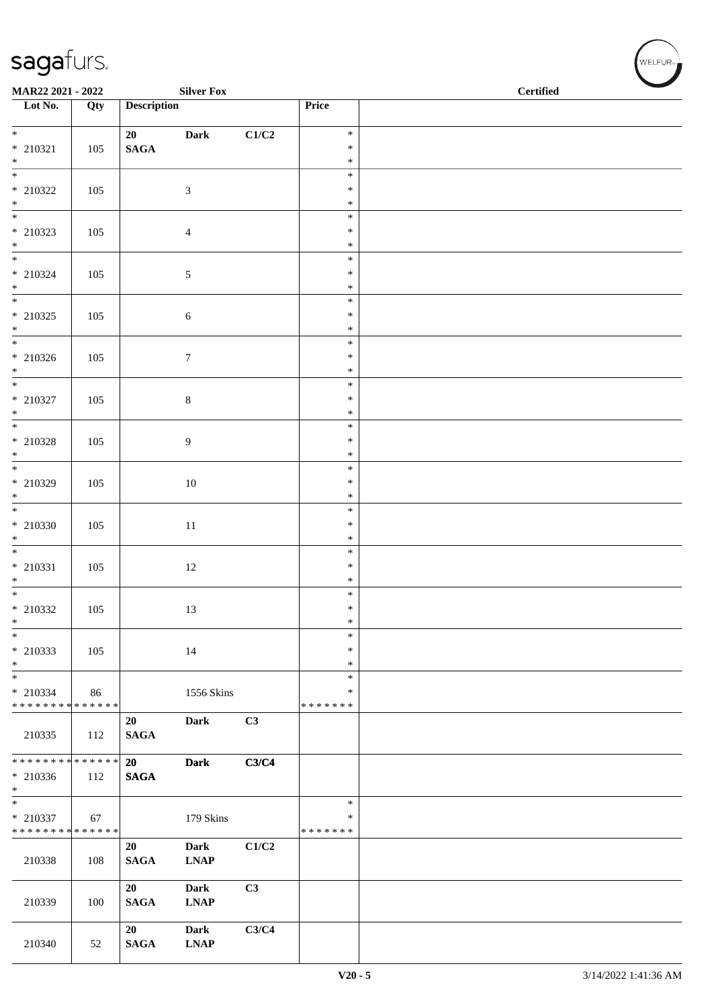| MAR22 2021 - 2022           |     |                    | <b>Silver Fox</b>                   |       |                  | <b>Certified</b> |
|-----------------------------|-----|--------------------|-------------------------------------|-------|------------------|------------------|
| Lot No.                     | Qty | <b>Description</b> |                                     |       | Price            |                  |
| $*$                         |     | 20                 | <b>Dark</b>                         | C1/C2 | $\ast$           |                  |
| $*$ 210321                  | 105 | $\mathbf{SAGA}$    |                                     |       | $\ast$           |                  |
| $\ast$                      |     |                    |                                     |       | $\ast$           |                  |
|                             |     |                    |                                     |       | $\ast$           |                  |
| * 210322                    | 105 |                    | $\mathfrak{Z}$                      |       | $\ast$<br>$\ast$ |                  |
| $*$                         |     |                    |                                     |       | $\ast$           |                  |
| $*$ 210323                  | 105 |                    | $\overline{4}$                      |       | $\ast$           |                  |
| $*$                         |     |                    |                                     |       | $\ast$           |                  |
| $\overline{\ast}$           |     |                    |                                     |       | $\ast$           |                  |
| * 210324<br>$*$             | 105 |                    | $\sqrt{5}$                          |       | $\ast$<br>$\ast$ |                  |
|                             |     |                    |                                     |       | $\ast$           |                  |
| * 210325                    | 105 |                    | $\sqrt{6}$                          |       | $\ast$           |                  |
| $*$                         |     |                    |                                     |       | $\ast$           |                  |
| * 210326                    | 105 |                    | $7\phantom{.0}$                     |       | $\ast$<br>$\ast$ |                  |
| $*$                         |     |                    |                                     |       | $\ast$           |                  |
|                             |     |                    |                                     |       | $\ast$           |                  |
| * 210327                    | 105 |                    | $\,8\,$                             |       | $\ast$           |                  |
| $*$                         |     |                    |                                     |       | $\ast$<br>$\ast$ |                  |
| * 210328                    | 105 |                    | $\overline{9}$                      |       | $\ast$           |                  |
| $*$                         |     |                    |                                     |       | $\ast$           |                  |
|                             |     |                    |                                     |       | $\ast$           |                  |
| * 210329                    | 105 |                    | 10                                  |       | $\ast$           |                  |
| $*$<br>$*$                  |     |                    |                                     |       | $\ast$<br>$\ast$ |                  |
| * 210330                    | 105 |                    | $11\,$                              |       | $\ast$           |                  |
| $*$                         |     |                    |                                     |       | $\ast$           |                  |
|                             |     |                    |                                     |       | $\ast$           |                  |
| $*$ 210331<br>$*$           | 105 |                    | 12                                  |       | $\ast$<br>$\ast$ |                  |
|                             |     |                    |                                     |       | $\ast$           |                  |
| * 210332                    | 105 |                    | 13                                  |       | $\ast$           |                  |
| $\ast$<br>$\frac{1}{1}$     |     |                    |                                     |       | $\ast$           |                  |
| * 210333                    |     |                    |                                     |       | $\ast$<br>$\ast$ |                  |
| $\ast$                      | 105 |                    | 14                                  |       | $\ast$           |                  |
| $_{*}$                      |     |                    |                                     |       | $\ast$           |                  |
| * 210334                    | 86  |                    | 1556 Skins                          |       | ∗                |                  |
| * * * * * * * * * * * * * * |     |                    |                                     |       | * * * * * * *    |                  |
| 210335                      | 112 | 20<br><b>SAGA</b>  | Dark                                | C3    |                  |                  |
|                             |     |                    |                                     |       |                  |                  |
| * * * * * * * * * * * * * * |     | 20                 | <b>Dark</b>                         | C3/C4 |                  |                  |
| $* 210336$<br>$*$           | 112 | <b>SAGA</b>        |                                     |       |                  |                  |
| $*$                         |     |                    |                                     |       | $\ast$           |                  |
| $* 210337$                  | 67  |                    | 179 Skins                           |       | $\ast$           |                  |
| * * * * * * * * * * * * * * |     |                    |                                     |       | * * * * * * *    |                  |
|                             |     | 20                 | <b>Dark</b>                         | C1/C2 |                  |                  |
| 210338                      | 108 | <b>SAGA</b>        | <b>LNAP</b>                         |       |                  |                  |
|                             |     | 20                 | <b>Dark</b>                         | C3    |                  |                  |
| 210339                      | 100 | <b>SAGA</b>        | <b>LNAP</b>                         |       |                  |                  |
|                             |     |                    |                                     |       |                  |                  |
|                             |     | 20                 | <b>Dark</b>                         | C3/C4 |                  |                  |
| 210340                      | 52  | <b>SAGA</b>        | $\ensuremath{\text{L}N\!AP}\xspace$ |       |                  |                  |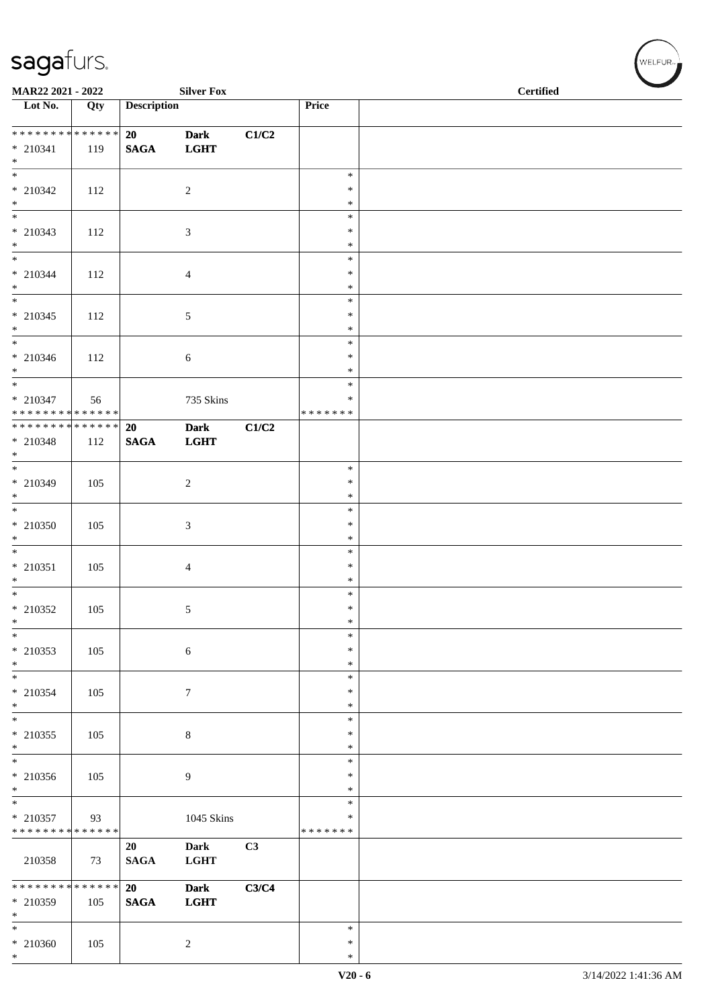| MAR22 2021 - 2022                                  |     |                       | <b>Silver Fox</b>          |       |                                   | <b>Certified</b> |  |  |
|----------------------------------------------------|-----|-----------------------|----------------------------|-------|-----------------------------------|------------------|--|--|
| $\overline{\phantom{1}}$ Lot No.                   | Qty | <b>Description</b>    |                            |       | Price                             |                  |  |  |
| * * * * * * * * * * * * * * *<br>$* 210341$<br>$*$ | 119 | 20<br><b>SAGA</b>     | <b>Dark</b><br><b>LGHT</b> | C1/C2 |                                   |                  |  |  |
| $*$ 210342<br>$*$                                  | 112 |                       | $\overline{c}$             |       | $\ast$<br>$\ast$<br>$\ast$        |                  |  |  |
| $\overline{\phantom{0}}$<br>$* 210343$<br>$*$      | 112 |                       | 3                          |       | $\ast$<br>$\ast$<br>$\ast$        |                  |  |  |
| $* 210344$<br>$*$                                  | 112 |                       | 4                          |       | $\ast$<br>$\ast$<br>$\ast$        |                  |  |  |
| $\overline{\phantom{0}}$<br>$* 210345$<br>$*$      | 112 |                       | 5                          |       | $\ast$<br>$\ast$<br>$\ast$        |                  |  |  |
| $\overline{\phantom{0}}$<br>$* 210346$<br>$*$      | 112 |                       | 6                          |       | $\ast$<br>$\ast$<br>$\ast$        |                  |  |  |
| $*$<br>$* 210347$<br>* * * * * * * * * * * * * *   | 56  |                       | 735 Skins                  |       | $\ast$<br>∗<br>* * * * * * *      |                  |  |  |
| ******** <mark>******</mark><br>$*$ 210348<br>$*$  | 112 | 20<br>$\mathbf{SAGA}$ | <b>Dark</b><br><b>LGHT</b> | C1/C2 |                                   |                  |  |  |
| $* 210349$<br>$\ast$                               | 105 |                       | $\sqrt{2}$                 |       | $\ast$<br>$\ast$<br>$\ast$        |                  |  |  |
| * 210350<br>$\ast$                                 | 105 |                       | 3                          |       | $\ast$<br>$\ast$<br>$\ast$        |                  |  |  |
| $* 210351$<br>$*$<br>$\overline{\phantom{0}}$      | 105 |                       | 4                          |       | $\ast$<br>$\ast$<br>$\ast$        |                  |  |  |
| $*$ 210352<br>$\ast$                               | 105 |                       | 5                          |       | $\ast$<br>$\ast$<br>$\ast$        |                  |  |  |
| $*$<br>* 210353<br>$*$<br>$\frac{1}{*}$            | 105 |                       | $\sqrt{6}$                 |       | $\ast$<br>$\ast$<br>$\ast$        |                  |  |  |
| * 210354<br>$*$                                    | 105 |                       | $\boldsymbol{7}$           |       | $\ast$<br>$\ast$<br>$\ast$        |                  |  |  |
| $\ast$<br>$*$ 210355<br>$*$<br>$\overline{\ }$     | 105 |                       | $\,8\,$                    |       | ∗<br>$\ast$<br>$\ast$             |                  |  |  |
| * 210356<br>$\ast$<br>$\overline{\ast}$            | 105 |                       | 9                          |       | $\ast$<br>$\ast$<br>∗             |                  |  |  |
| $* 210357$<br>* * * * * * * * * * * * * *          | 93  |                       | 1045 Skins                 |       | $\ast$<br>$\ast$<br>* * * * * * * |                  |  |  |
| 210358                                             | 73  | 20<br>$\mathbf{SAGA}$ | <b>Dark</b><br><b>LGHT</b> | C3    |                                   |                  |  |  |
| ******** <mark>******</mark><br>$* 210359$<br>$*$  | 105 | 20<br><b>SAGA</b>     | <b>Dark</b><br><b>LGHT</b> | C3/C4 |                                   |                  |  |  |
| $*$<br>$* 210360$<br>$*$                           | 105 |                       | $\overline{c}$             |       | $\ast$<br>$\ast$<br>$\ast$        |                  |  |  |

 $(\forall ELFUR$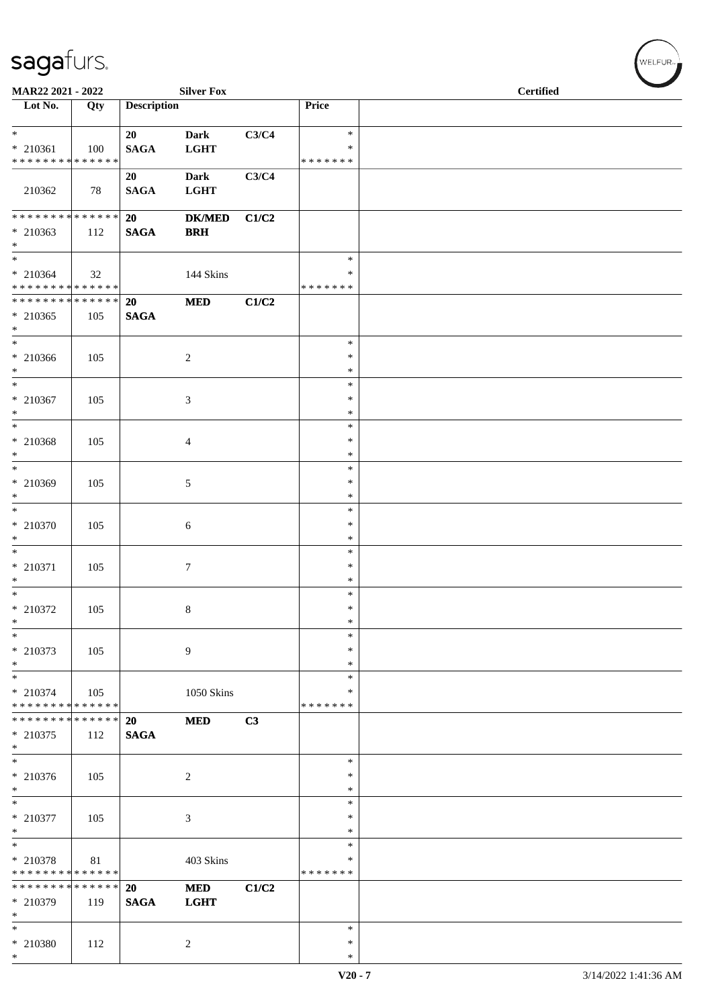| MAR22 2021 - 2022                                                          |              |                       | <b>Silver Fox</b>           |       |                                 | <b>Certified</b> |
|----------------------------------------------------------------------------|--------------|-----------------------|-----------------------------|-------|---------------------------------|------------------|
| Lot No.                                                                    | Qty          | <b>Description</b>    |                             |       | Price                           |                  |
| $\ast$<br>$* 210361$<br>* * * * * * * * * * * * * *                        | 100          | 20<br><b>SAGA</b>     | <b>Dark</b><br><b>LGHT</b>  | C3/C4 | $\ast$<br>∗<br>* * * * * * *    |                  |
| 210362                                                                     | 78           | 20<br>$\mathbf{SAGA}$ | <b>Dark</b><br><b>LGHT</b>  | C3/C4 |                                 |                  |
| * * * * * * * * * * * * * *<br>$* 210363$<br>$*$                           | 112          | 20<br>$\mathbf{SAGA}$ | <b>DK/MED</b><br><b>BRH</b> | C1/C2 |                                 |                  |
| $\ast$<br>$* 210364$<br>* * * * * * * * * * * * * *                        | 32           |                       | 144 Skins                   |       | $\ast$<br>∗<br>* * * * * * *    |                  |
| * * * * * * * * * * * * * * *<br>$* 210365$<br>$*$                         | 105          | 20<br>$\mathbf{SAGA}$ | <b>MED</b>                  | C1/C2 |                                 |                  |
| $*$<br>$* 210366$<br>$*$                                                   | 105          |                       | $\overline{c}$              |       | $\ast$<br>$\ast$<br>$\ast$      |                  |
| $*$<br>$* 210367$<br>$\ast$                                                | 105          |                       | 3                           |       | $\ast$<br>$\ast$<br>$\ast$      |                  |
| $\overline{\phantom{0}}$<br>* 210368<br>$\ast$                             | 105          |                       | 4                           |       | $\ast$<br>$\ast$<br>$\ast$      |                  |
| $\overline{\ast}$<br>* 210369<br>$*$                                       | 105          |                       | 5                           |       | $\ast$<br>$\ast$<br>$\ast$      |                  |
| $*$<br>$* 210370$<br>$*$                                                   | 105          |                       | 6                           |       | $\ast$<br>$\ast$<br>$\ast$      |                  |
| $*$<br>$*$ 210371<br>$*$                                                   | 105          |                       | $\tau$                      |       | $\ast$<br>$\ast$<br>$\ast$      |                  |
| $*$<br>* 210372<br>$\ast$<br>$\ast$                                        | 105          |                       | 8                           |       | $\ast$<br>$\ast$<br>∗<br>$\ast$ |                  |
| * 210373<br>$\ast$<br>$\overline{\ast}$                                    | 105          |                       | 9                           |       | $\ast$<br>$\ast$<br>$\ast$      |                  |
| $* 210374$<br>* * * * * * * * * * * * * *                                  | 105          |                       | <b>1050 Skins</b>           |       | ∗<br>* * * * * * *              |                  |
| * * * * * * * * * * * * * *<br>* 210375<br>$*$<br>$\overline{\phantom{0}}$ | 112          | 20<br><b>SAGA</b>     | <b>MED</b>                  | C3    | $\ast$                          |                  |
| $* 210376$<br>$*$<br>$\overline{\phantom{0}}$                              | 105          |                       | $\overline{c}$              |       | $\ast$<br>$\ast$<br>$\ast$      |                  |
| $*$ 210377<br>$*$<br>$*$                                                   | 105          |                       | 3                           |       | ∗<br>$\ast$<br>$\ast$           |                  |
| * 210378<br>* * * * * * * * * * * * * * *<br>* * * * * * * *               | 81<br>****** | 20                    | 403 Skins<br><b>MED</b>     | C1/C2 | $\ast$<br>* * * * * * *         |                  |
| * 210379<br>$*$<br>$*$                                                     | 119          | <b>SAGA</b>           | <b>LGHT</b>                 |       | $\ast$                          |                  |
| $*$ 210380<br>$*$                                                          | 112          |                       | $\overline{c}$              |       | $\ast$<br>$\ast$                |                  |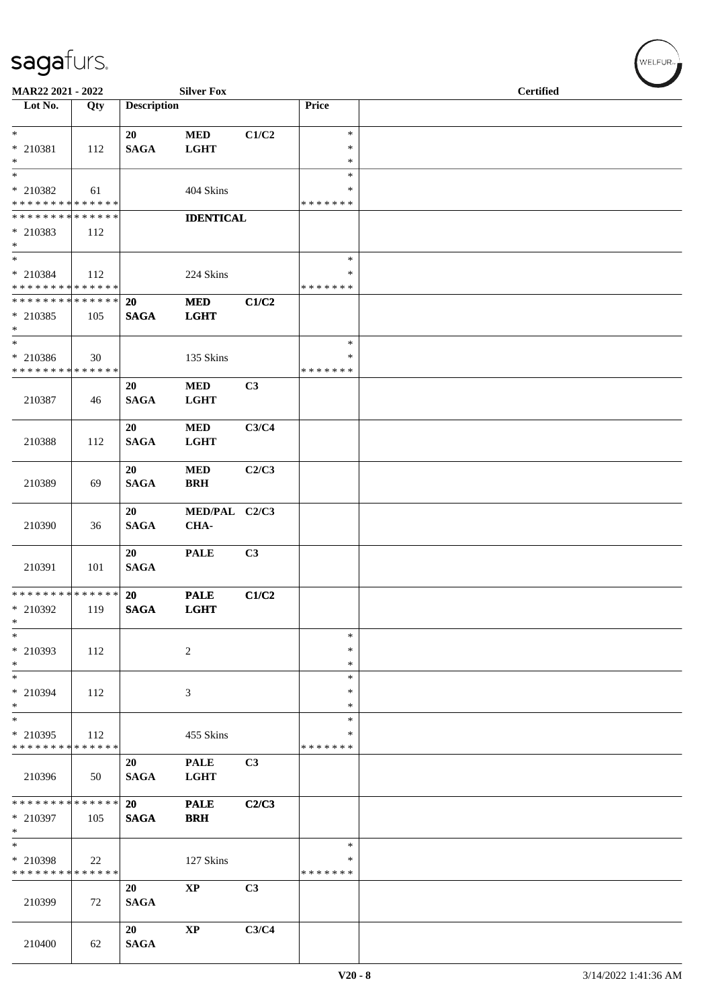| MAR22 2021 - 2022                          |                    |                    | <b>Silver Fox</b>      |       |                    | <b>Certified</b> |
|--------------------------------------------|--------------------|--------------------|------------------------|-------|--------------------|------------------|
| Lot No.                                    | Qty                | <b>Description</b> |                        |       | Price              |                  |
|                                            |                    |                    |                        |       |                    |                  |
| $*$                                        |                    | 20                 | <b>MED</b>             | C1/C2 | $\ast$             |                  |
| * 210381<br>$*$                            | 112                | <b>SAGA</b>        | <b>LGHT</b>            |       | $\ast$<br>$\ast$   |                  |
|                                            |                    |                    |                        |       | $\ast$             |                  |
| * 210382                                   | 61                 |                    | 404 Skins              |       | ∗                  |                  |
| * * * * * * * * <mark>* * * * * * *</mark> |                    |                    |                        |       | * * * * * * *      |                  |
| * * * * * * * * * * * * * *                |                    |                    | <b>IDENTICAL</b>       |       |                    |                  |
| * 210383                                   | 112                |                    |                        |       |                    |                  |
| $*$<br>$\overline{\phantom{0}}$            |                    |                    |                        |       |                    |                  |
|                                            |                    |                    |                        |       | $\ast$<br>*        |                  |
| * 210384<br>* * * * * * * * * * * * * *    | 112                |                    | 224 Skins              |       | *******            |                  |
| * * * * * * * * <mark>* * * * * * *</mark> |                    | <b>20</b>          | <b>MED</b>             | C1/C2 |                    |                  |
| * 210385                                   | 105                | <b>SAGA</b>        | <b>LGHT</b>            |       |                    |                  |
| $*$                                        |                    |                    |                        |       |                    |                  |
| $*$                                        |                    |                    |                        |       | $\ast$             |                  |
| * 210386                                   | 30                 |                    | 135 Skins              |       | ∗                  |                  |
| * * * * * * * * * * * * * *                |                    |                    |                        |       | *******            |                  |
|                                            |                    | 20                 | <b>MED</b>             | C3    |                    |                  |
| 210387                                     | 46                 | <b>SAGA</b>        | <b>LGHT</b>            |       |                    |                  |
|                                            |                    | 20                 | <b>MED</b>             | C3/C4 |                    |                  |
| 210388                                     | 112                | <b>SAGA</b>        | <b>LGHT</b>            |       |                    |                  |
|                                            |                    |                    |                        |       |                    |                  |
|                                            |                    | 20                 | <b>MED</b>             | C2/C3 |                    |                  |
| 210389                                     | 69                 | <b>SAGA</b>        | <b>BRH</b>             |       |                    |                  |
|                                            |                    |                    |                        |       |                    |                  |
| 210390                                     |                    | 20                 | MED/PAL C2/C3<br>CHA-  |       |                    |                  |
|                                            | 36                 | <b>SAGA</b>        |                        |       |                    |                  |
|                                            |                    | 20                 | <b>PALE</b>            | C3    |                    |                  |
| 210391                                     | 101                | <b>SAGA</b>        |                        |       |                    |                  |
|                                            |                    |                    |                        |       |                    |                  |
| * * * * * * * * * * * * * * *              |                    | <b>20</b>          | <b>PALE</b>            | C1/C2 |                    |                  |
| * 210392                                   | 119                | <b>SAGA</b>        | <b>LGHT</b>            |       |                    |                  |
| $\ast$<br>$\ast$                           |                    |                    |                        |       | $\ast$             |                  |
| * 210393                                   | 112                |                    | $\overline{2}$         |       | $\ast$             |                  |
| $*$                                        |                    |                    |                        |       | $\ast$             |                  |
| $*$                                        |                    |                    |                        |       | $\ast$             |                  |
| * 210394                                   | 112                |                    | 3                      |       | $\ast$             |                  |
| $*$                                        |                    |                    |                        |       | $\ast$             |                  |
| $*$                                        |                    |                    |                        |       | $\ast$             |                  |
| * 210395<br>* * * * * * * *                | 112<br>* * * * * * |                    | 455 Skins              |       | *<br>* * * * * * * |                  |
|                                            |                    | 20                 | <b>PALE</b>            | C3    |                    |                  |
| 210396                                     | 50                 | <b>SAGA</b>        | <b>LGHT</b>            |       |                    |                  |
|                                            |                    |                    |                        |       |                    |                  |
| * * * * * * * * * * * * * *                |                    | 20                 | <b>PALE</b>            | C2/C3 |                    |                  |
| * 210397                                   | 105                | <b>SAGA</b>        | <b>BRH</b>             |       |                    |                  |
| $*$<br>$*$                                 |                    |                    |                        |       |                    |                  |
|                                            |                    |                    |                        |       | $\ast$<br>∗        |                  |
| * 210398<br>* * * * * * * * * * * * * *    | 22                 |                    | 127 Skins              |       | * * * * * * *      |                  |
|                                            |                    | 20                 | $\bold{XP}$            | C3    |                    |                  |
| 210399                                     | 72                 | <b>SAGA</b>        |                        |       |                    |                  |
|                                            |                    |                    |                        |       |                    |                  |
|                                            |                    | 20                 | $\mathbf{X}\mathbf{P}$ | C3/C4 |                    |                  |
| 210400                                     | 62                 | <b>SAGA</b>        |                        |       |                    |                  |

WELFUR<sub><sup>N</sup></sub>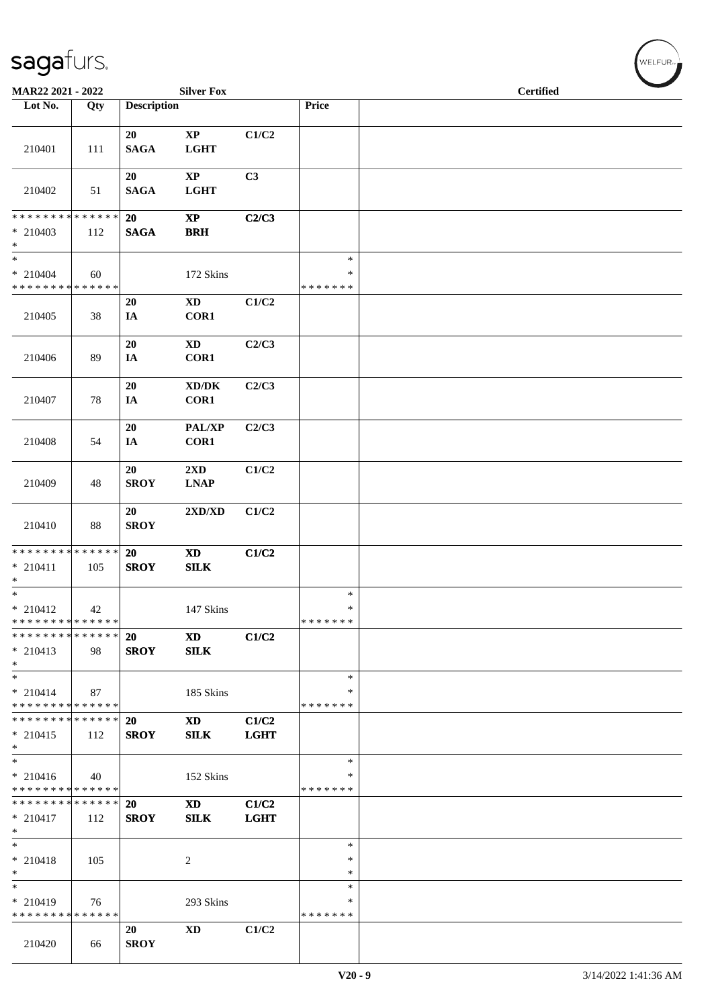| MAR22 2021 - 2022                                                       |     |                          | <b>Silver Fox</b>                           |                      |                                   | <b>Certified</b> |  |  |
|-------------------------------------------------------------------------|-----|--------------------------|---------------------------------------------|----------------------|-----------------------------------|------------------|--|--|
| Lot No.                                                                 | Qty | <b>Description</b>       |                                             |                      | Price                             |                  |  |  |
| 210401                                                                  | 111 | 20<br><b>SAGA</b>        | $\mathbf{XP}$<br><b>LGHT</b>                | C1/C2                |                                   |                  |  |  |
| 210402                                                                  | 51  | 20<br><b>SAGA</b>        | $\bold{XP}$<br><b>LGHT</b>                  | C3                   |                                   |                  |  |  |
| * * * * * * * * * * * * * *<br>$*$ 210403<br>$\ast$                     | 112 | 20<br><b>SAGA</b>        | $\bold{XP}$<br>BRH                          | C2/C3                |                                   |                  |  |  |
| $\ast$<br>$* 210404$<br>* * * * * * * * * * * * * *                     | 60  |                          | 172 Skins                                   |                      | $\ast$<br>∗<br>* * * * * * *      |                  |  |  |
| 210405                                                                  | 38  | 20<br>IA                 | $\mathbf{X}\mathbf{D}$<br>COR1              | C1/C2                |                                   |                  |  |  |
| 210406                                                                  | 89  | $20\,$<br>IA             | $\mathbf{X}\mathbf{D}$<br>COR1              | C2/C3                |                                   |                  |  |  |
| 210407                                                                  | 78  | 20<br>IA                 | $\bold{X}\bold{D}/\bold{D}\bold{K}$<br>COR1 | C2/C3                |                                   |                  |  |  |
| 210408                                                                  | 54  | 20<br>IA                 | PAL/XP<br>COR1                              | C2/C3                |                                   |                  |  |  |
| 210409                                                                  | 48  | 20<br><b>SROY</b>        | 2XD<br><b>LNAP</b>                          | C1/C2                |                                   |                  |  |  |
| 210410                                                                  | 88  | 20<br><b>SROY</b>        | 2XD/XD                                      | C1/C2                |                                   |                  |  |  |
| * * * * * * * * * * * * * *<br>$* 210411$<br>$\ast$                     | 105 | 20<br><b>SROY</b>        | $\mathbf{X}\mathbf{D}$<br>SLK               | C1/C2                |                                   |                  |  |  |
| $\ast$<br>$* 210412$<br>* * * * * * * * * * * * * *                     | 42  |                          | 147 Skins                                   |                      | $\ast$<br>$\ast$<br>* * * * * * * |                  |  |  |
| * * * * * * * * * * * * * *<br>$* 210413$<br>$*$                        | 98  | <b>20</b><br><b>SROY</b> | $\mathbf{X}\mathbf{D}$<br>SLK               | C1/C2                |                                   |                  |  |  |
| $*$<br>$* 210414$<br>* * * * * * * * * * * * * *                        | 87  |                          | 185 Skins                                   |                      | $\ast$<br>∗<br>* * * * * * *      |                  |  |  |
| * * * * * * * * * * * * * *<br>$* 210415$<br>$\ast$                     | 112 | <b>20</b><br><b>SROY</b> | <b>XD</b><br>SLK                            | C1/C2<br><b>LGHT</b> |                                   |                  |  |  |
| $\overline{\phantom{a}^*}$<br>$* 210416$<br>* * * * * * * * * * * * * * | 40  |                          | 152 Skins                                   |                      | $\ast$<br>∗<br>* * * * * * *      |                  |  |  |
| * * * * * * * * * * * * * *<br>$* 210417$<br>$*$                        | 112 | 20<br><b>SROY</b>        | <b>XD</b><br><b>SILK</b>                    | C1/C2<br><b>LGHT</b> |                                   |                  |  |  |
| $\ast$<br>$* 210418$<br>$\ast$                                          | 105 |                          | $\overline{c}$                              |                      | $\ast$<br>$\ast$<br>$\ast$        |                  |  |  |
| $\ast$<br>$* 210419$<br>* * * * * * * * * * * * * *                     | 76  |                          | 293 Skins                                   |                      | $\ast$<br>∗<br>* * * * * * *      |                  |  |  |
| 210420                                                                  | 66  | 20<br><b>SROY</b>        | $\mathbf{X}\mathbf{D}$                      | C1/C2                |                                   |                  |  |  |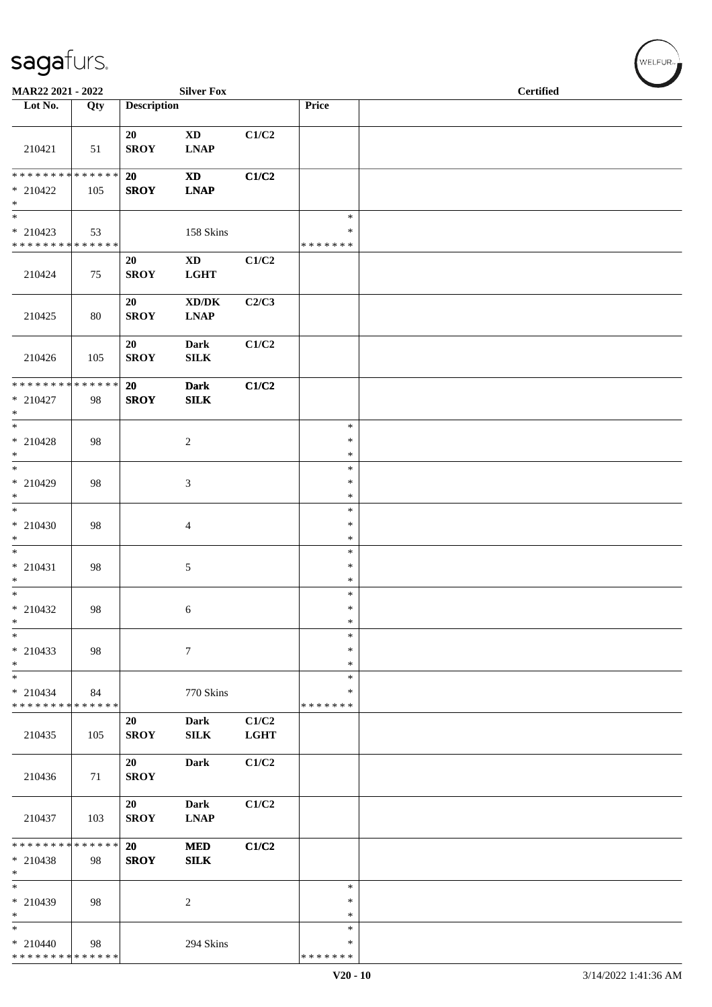| MAR22 2021 - 2022                                     |     |                    | <b>Silver Fox</b>                                                    |                      |                                   | <b>Certified</b> |
|-------------------------------------------------------|-----|--------------------|----------------------------------------------------------------------|----------------------|-----------------------------------|------------------|
| Lot No.                                               | Qty | <b>Description</b> |                                                                      |                      | Price                             |                  |
| 210421                                                | 51  | 20<br><b>SROY</b>  | $\mathbf{X}\mathbf{D}$<br>$\mathbf{L}\mathbf{N}\mathbf{A}\mathbf{P}$ | C1/C2                |                                   |                  |
| ******** <mark>******</mark><br>$* 210422$<br>$*$     | 105 | 20<br><b>SROY</b>  | $\mathbf{X}\mathbf{D}$<br><b>LNAP</b>                                | C1/C2                |                                   |                  |
| $\ast$<br>$* 210423$<br>* * * * * * * * * * * * * *   | 53  |                    | 158 Skins                                                            |                      | $\ast$<br>$\ast$<br>* * * * * * * |                  |
| 210424                                                | 75  | 20<br><b>SROY</b>  | $\mathbf{X}\mathbf{D}$<br>$_{\rm LGHT}$                              | C1/C2                |                                   |                  |
| 210425                                                | 80  | 20<br><b>SROY</b>  | $\bold{X}\bold{D}/\bold{D}\bold{K}$<br><b>LNAP</b>                   | C2/C3                |                                   |                  |
| 210426                                                | 105 | 20<br><b>SROY</b>  | <b>Dark</b><br><b>SILK</b>                                           | C1/C2                |                                   |                  |
| * * * * * * * * * * * * * * *<br>$* 210427$<br>$\ast$ | 98  | 20<br><b>SROY</b>  | <b>Dark</b><br>SLK                                                   | C1/C2                |                                   |                  |
| $\ast$<br>$* 210428$<br>$\ast$                        | 98  |                    | $\overline{c}$                                                       |                      | $\ast$<br>$\ast$<br>$\ast$        |                  |
| $\ast$<br>* 210429<br>$\ast$                          | 98  |                    | $\boldsymbol{\mathfrak{Z}}$                                          |                      | $\ast$<br>$\ast$<br>$\ast$        |                  |
| $\ast$<br>$* 210430$<br>$\ast$                        | 98  |                    | $\overline{4}$                                                       |                      | $\ast$<br>$\ast$<br>$\ast$        |                  |
| $\overline{\phantom{0}}$<br>$* 210431$<br>$\ast$      | 98  |                    | $\sqrt{5}$                                                           |                      | $\ast$<br>$\ast$<br>$\ast$        |                  |
| $\overline{\phantom{a}^*}$<br>$*$ 210432<br>$\ast$    | 98  |                    | 6                                                                    |                      | $\ast$<br>$\ast$<br>$\ast$        |                  |
| $\ast$<br>$*$ 210433<br>$\ast$                        | 98  |                    | $\boldsymbol{7}$                                                     |                      | $\ast$<br>$\ast$<br>$\ast$        |                  |
| $\ast$<br>$* 210434$<br>* * * * * * * * * * * * * *   | 84  |                    | 770 Skins                                                            |                      | $\ast$<br>∗<br>* * * * * * *      |                  |
| 210435                                                | 105 | 20<br><b>SROY</b>  | <b>Dark</b><br>SILK                                                  | C1/C2<br><b>LGHT</b> |                                   |                  |
| 210436                                                | 71  | 20<br><b>SROY</b>  | <b>Dark</b>                                                          | C1/C2                |                                   |                  |
| 210437                                                | 103 | 20<br><b>SROY</b>  | <b>Dark</b><br><b>LNAP</b>                                           | C1/C2                |                                   |                  |
| * * * * * * * * * * * * * *<br>$* 210438$<br>$\ast$   | 98  | 20<br><b>SROY</b>  | $\bf MED$<br><b>SILK</b>                                             | C1/C2                |                                   |                  |
| $\overline{\phantom{1}}$<br>$* 210439$<br>$\ast$      | 98  |                    | $\sqrt{2}$                                                           |                      | $\ast$<br>$\ast$<br>$\ast$        |                  |
| $\ast$<br>$* 210440$<br>* * * * * * * * * * * * * *   | 98  |                    | 294 Skins                                                            |                      | $\ast$<br>∗<br>* * * * * * *      |                  |

 $(\forall ELFUR_{\approx})$